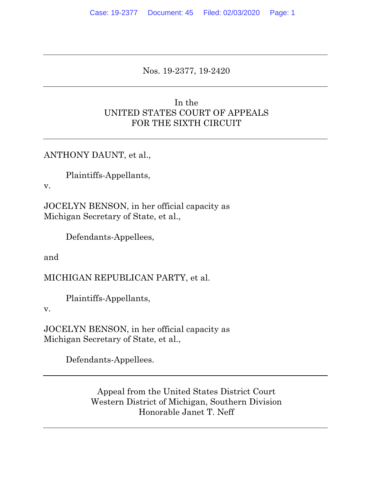### Nos. 19-2377, 19-2420

## In the UNITED STATES COURT OF APPEALS FOR THE SIXTH CIRCUIT

ANTHONY DAUNT, et al.,

Plaintiffs-Appellants,

v.

JOCELYN BENSON, in her official capacity as Michigan Secretary of State, et al.,

Defendants-Appellees,

and

MICHIGAN REPUBLICAN PARTY, et al.

Plaintiffs-Appellants,

v.

JOCELYN BENSON, in her official capacity as Michigan Secretary of State, et al.,

Defendants-Appellees.

Appeal from the United States District Court Western District of Michigan, Southern Division Honorable Janet T. Neff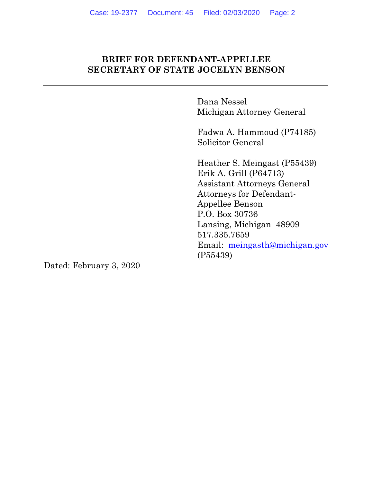### **BRIEF FOR DEFENDANT-APPELLEE SECRETARY OF STATE JOCELYN BENSON**

Dana Nessel Michigan Attorney General

Fadwa A. Hammoud (P74185) Solicitor General

Heather S. Meingast (P55439) Erik A. Grill (P64713) Assistant Attorneys General Attorneys for Defendant-Appellee Benson P.O. Box 30736 Lansing, Michigan 48909 517.335.7659 Email: meingasth@michigan.gov (P55439)

Dated: February 3, 2020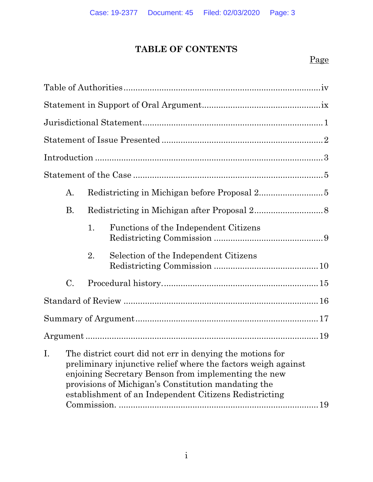# **TABLE OF CONTENTS**

# Page

|                | A.                                                                                                                                                                                                                                                                                                  |    |                                       |  |
|----------------|-----------------------------------------------------------------------------------------------------------------------------------------------------------------------------------------------------------------------------------------------------------------------------------------------------|----|---------------------------------------|--|
|                | Β.                                                                                                                                                                                                                                                                                                  |    |                                       |  |
|                |                                                                                                                                                                                                                                                                                                     | 1. | Functions of the Independent Citizens |  |
|                |                                                                                                                                                                                                                                                                                                     | 2. | Selection of the Independent Citizens |  |
|                | C.                                                                                                                                                                                                                                                                                                  |    |                                       |  |
|                |                                                                                                                                                                                                                                                                                                     |    |                                       |  |
|                |                                                                                                                                                                                                                                                                                                     |    |                                       |  |
|                |                                                                                                                                                                                                                                                                                                     |    |                                       |  |
| $\mathbf{I}$ . | The district court did not err in denying the motions for<br>preliminary injunctive relief where the factors weigh against<br>enjoining Secretary Benson from implementing the new<br>provisions of Michigan's Constitution mandating the<br>establishment of an Independent Citizens Redistricting |    |                                       |  |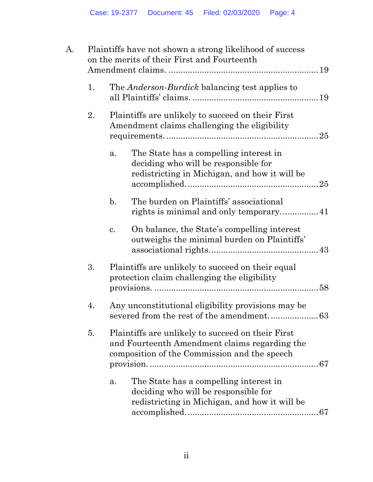| A. | Plaintiffs have not shown a strong likelihood of success<br>on the merits of their First and Fourteenth |                                                                                                                                                    |                                                                                                                                 |  |
|----|---------------------------------------------------------------------------------------------------------|----------------------------------------------------------------------------------------------------------------------------------------------------|---------------------------------------------------------------------------------------------------------------------------------|--|
|    | 1.                                                                                                      | The <i>Anderson-Burdick</i> balancing test applies to                                                                                              |                                                                                                                                 |  |
|    | 2.                                                                                                      | Plaintiffs are unlikely to succeed on their First<br>Amendment claims challenging the eligibility                                                  |                                                                                                                                 |  |
|    |                                                                                                         | a.                                                                                                                                                 | The State has a compelling interest in<br>deciding who will be responsible for<br>redistricting in Michigan, and how it will be |  |
|    |                                                                                                         | $\mathbf{b}$ .                                                                                                                                     | The burden on Plaintiffs' associational                                                                                         |  |
|    |                                                                                                         | $\mathbf{c}$ .                                                                                                                                     | On balance, the State's compelling interest<br>outweighs the minimal burden on Plaintiffs'                                      |  |
|    | 3.                                                                                                      | Plaintiffs are unlikely to succeed on their equal<br>protection claim challenging the eligibility                                                  |                                                                                                                                 |  |
|    | 4.                                                                                                      |                                                                                                                                                    | Any unconstitutional eligibility provisions may be<br>severed from the rest of the amendment<br>63                              |  |
|    | 5.                                                                                                      | Plaintiffs are unlikely to succeed on their First<br>and Fourteenth Amendment claims regarding the<br>composition of the Commission and the speech |                                                                                                                                 |  |
|    |                                                                                                         | a.                                                                                                                                                 | The State has a compelling interest in<br>deciding who will be responsible for<br>redistricting in Michigan, and how it will be |  |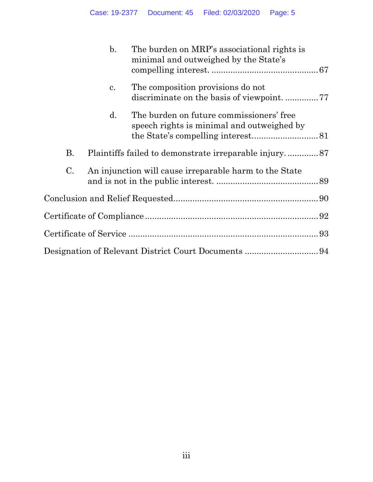|           | $\mathbf{b}$ . | The burden on MRP's associational rights is<br>minimal and outweighed by the State's   |  |
|-----------|----------------|----------------------------------------------------------------------------------------|--|
|           | c.             | The composition provisions do not<br>discriminate on the basis of viewpoint77          |  |
|           | $\mathbf{d}$ . | The burden on future commissioners' free<br>speech rights is minimal and outweighed by |  |
| <b>B.</b> |                |                                                                                        |  |
| C.        |                | An injunction will cause irreparable harm to the State                                 |  |
|           |                |                                                                                        |  |
|           |                |                                                                                        |  |
|           |                |                                                                                        |  |
|           |                |                                                                                        |  |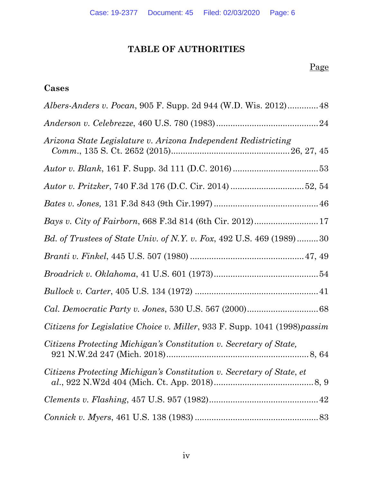# **TABLE OF AUTHORITIES**

# Page

## **Cases**

| <i>Albers-Anders v. Pocan, 905 F. Supp. 2d 944 (W.D. Wis. 2012)</i> 48      |
|-----------------------------------------------------------------------------|
|                                                                             |
| Arizona State Legislature v. Arizona Independent Redistricting              |
|                                                                             |
| Autor v. Pritzker, 740 F.3d 176 (D.C. Cir. 2014) 52, 54                     |
|                                                                             |
| Bays v. City of Fairborn, 668 F.3d 814 (6th Cir. 2012)17                    |
| <i>Bd. of Trustees of State Univ. of N.Y. v. Fox, 492 U.S. 469 (1989)30</i> |
|                                                                             |
|                                                                             |
|                                                                             |
|                                                                             |
| Citizens for Legislative Choice v. Miller, 933 F. Supp. 1041 (1998) passim  |
| Citizens Protecting Michigan's Constitution v. Secretary of State,          |
| Citizens Protecting Michigan's Constitution v. Secretary of State, et       |
|                                                                             |
|                                                                             |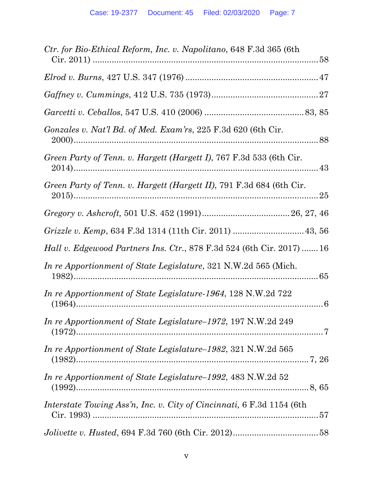| Ctr. for Bio-Ethical Reform, Inc. v. Napolitano, 648 F.3d 365 (6th           |
|------------------------------------------------------------------------------|
|                                                                              |
|                                                                              |
|                                                                              |
| Gonzales v. Nat'l Bd. of Med. Exam'rs, 225 F.3d 620 (6th Cir.                |
| Green Party of Tenn. v. Hargett (Hargett I), 767 F.3d 533 (6th Cir.          |
| Green Party of Tenn. v. Hargett (Hargett II), 791 F.3d 684 (6th Cir.         |
|                                                                              |
|                                                                              |
| <i>Hall v. Edgewood Partners Ins. Ctr., 878 F.3d 524 (6th Cir. 2017)  16</i> |
| In re Apportionment of State Legislature, 321 N.W.2d 565 (Mich.              |
| In re Apportionment of State Legislature-1964, 128 N.W.2d 722                |
| <i>In re Apportionment of State Legislature–1972, 197 N.W.2d 249</i>         |
| In re Apportionment of State Legislature-1982, 321 N.W.2d 565                |
| In re Apportionment of State Legislature-1992, 483 N.W.2d 52                 |
| Interstate Towing Ass'n, Inc. v. City of Cincinnati, 6 F.3d 1154 (6th        |
|                                                                              |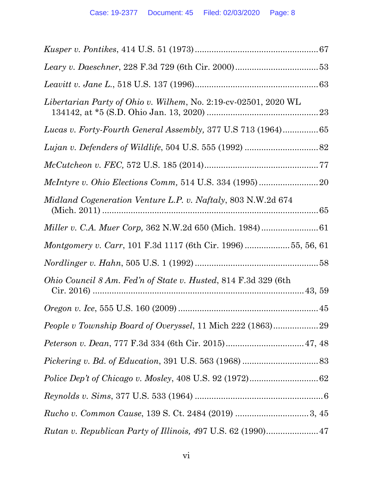| Libertarian Party of Ohio v. Wilhem, No. 2:19-cv-02501, 2020 WL        |
|------------------------------------------------------------------------|
| Lucas v. Forty-Fourth General Assembly, 377 U.S 713 (1964)65           |
|                                                                        |
|                                                                        |
|                                                                        |
| <i>Midland Cogeneration Venture L.P. v. Naftaly, 803 N.W.2d 674</i>    |
|                                                                        |
| <i>Montgomery v. Carr</i> , 101 F.3d 1117 (6th Cir. 1996) 55, 56, 61   |
|                                                                        |
| <i>Ohio Council 8 Am. Fed'n of State v. Husted, 814 F.3d 329 (6th)</i> |
|                                                                        |
|                                                                        |
|                                                                        |
|                                                                        |
|                                                                        |
|                                                                        |
|                                                                        |
| Rutan v. Republican Party of Illinois, 497 U.S. 62 (1990) 47           |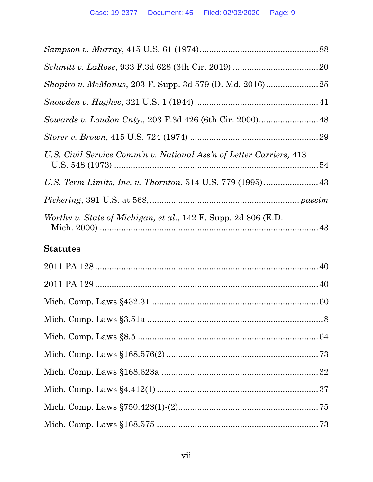| <i>Shapiro v. McManus, 203 F. Supp. 3d 579 (D. Md. 2016)</i>            |  |
|-------------------------------------------------------------------------|--|
|                                                                         |  |
|                                                                         |  |
|                                                                         |  |
| U.S. Civil Service Comm'n v. National Ass'n of Letter Carriers, 413     |  |
|                                                                         |  |
|                                                                         |  |
| <i>Worthy v. State of Michigan, et al., 142 F. Supp. 2d 806 (E.D.</i> ) |  |
| <b>Statutes</b>                                                         |  |
|                                                                         |  |
|                                                                         |  |
|                                                                         |  |
|                                                                         |  |
|                                                                         |  |
|                                                                         |  |
|                                                                         |  |
|                                                                         |  |
|                                                                         |  |
|                                                                         |  |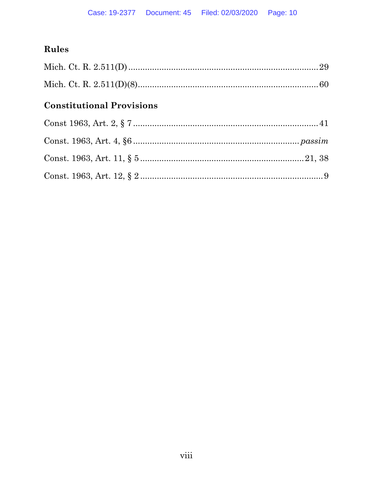# Rules

# **Constitutional Provisions**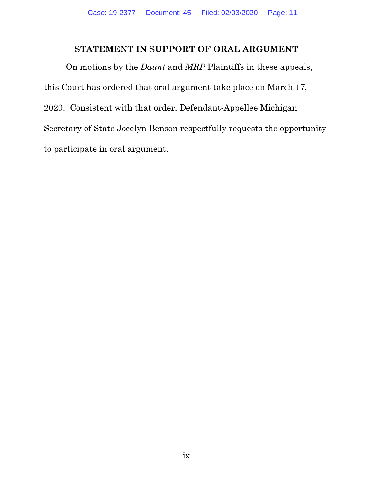## **STATEMENT IN SUPPORT OF ORAL ARGUMENT**

On motions by the *Daunt* and *MRP* Plaintiffs in these appeals, this Court has ordered that oral argument take place on March 17, 2020. Consistent with that order, Defendant-Appellee Michigan Secretary of State Jocelyn Benson respectfully requests the opportunity to participate in oral argument.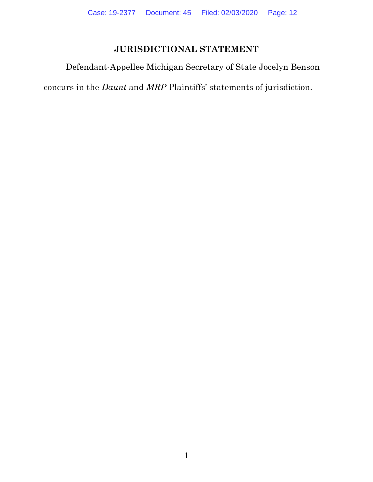# **JURISDICTIONAL STATEMENT**

Defendant-Appellee Michigan Secretary of State Jocelyn Benson

concurs in the *Daunt* and *MRP* Plaintiffs' statements of jurisdiction.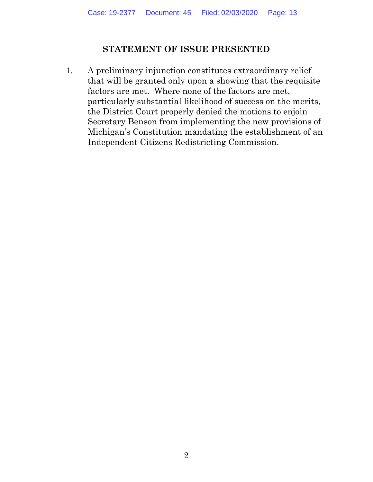### **STATEMENT OF ISSUE PRESENTED**

1. A preliminary injunction constitutes extraordinary relief that will be granted only upon a showing that the requisite factors are met. Where none of the factors are met, particularly substantial likelihood of success on the merits, the District Court properly denied the motions to enjoin Secretary Benson from implementing the new provisions of Michigan's Constitution mandating the establishment of an Independent Citizens Redistricting Commission.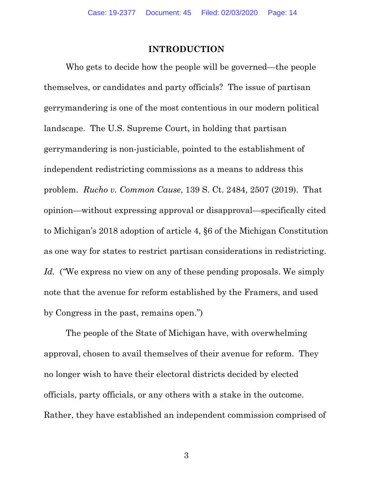#### **INTRODUCTION**

Who gets to decide how the people will be governed—the people themselves, or candidates and party officials? The issue of partisan gerrymandering is one of the most contentious in our modern political landscape. The U.S. Supreme Court, in holding that partisan gerrymandering is non-justiciable, pointed to the establishment of independent redistricting commissions as a means to address this problem. *Rucho v. Common Cause*, 139 S. Ct. 2484, 2507 (2019). That opinion—without expressing approval or disapproval—specifically cited to Michigan's 2018 adoption of article 4, §6 of the Michigan Constitution as one way for states to restrict partisan considerations in redistricting. Id. ("We express no view on any of these pending proposals. We simply note that the avenue for reform established by the Framers, and used by Congress in the past, remains open.")

 The people of the State of Michigan have, with overwhelming approval, chosen to avail themselves of their avenue for reform. They no longer wish to have their electoral districts decided by elected officials, party officials, or any others with a stake in the outcome. Rather, they have established an independent commission comprised of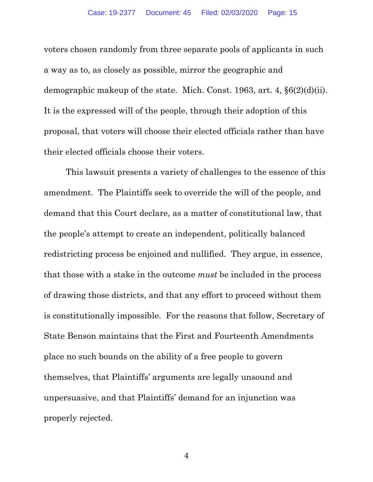voters chosen randomly from three separate pools of applicants in such a way as to, as closely as possible, mirror the geographic and demographic makeup of the state. Mich. Const. 1963, art. 4, §6(2)(d)(ii). It is the expressed will of the people, through their adoption of this proposal, that voters will choose their elected officials rather than have their elected officials choose their voters.

 This lawsuit presents a variety of challenges to the essence of this amendment. The Plaintiffs seek to override the will of the people, and demand that this Court declare, as a matter of constitutional law, that the people's attempt to create an independent, politically balanced redistricting process be enjoined and nullified. They argue, in essence, that those with a stake in the outcome *must* be included in the process of drawing those districts, and that any effort to proceed without them is constitutionally impossible. For the reasons that follow, Secretary of State Benson maintains that the First and Fourteenth Amendments place no such bounds on the ability of a free people to govern themselves, that Plaintiffs' arguments are legally unsound and unpersuasive, and that Plaintiffs' demand for an injunction was properly rejected.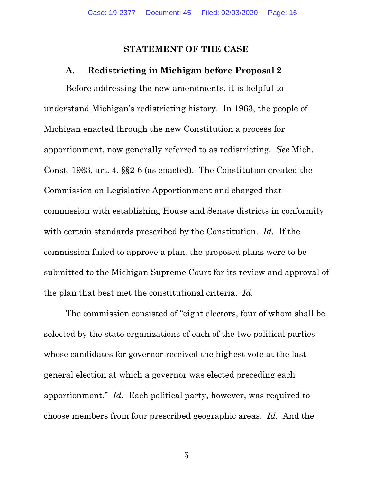### **STATEMENT OF THE CASE**

#### **A. Redistricting in Michigan before Proposal 2**

Before addressing the new amendments, it is helpful to understand Michigan's redistricting history. In 1963, the people of Michigan enacted through the new Constitution a process for apportionment, now generally referred to as redistricting. *See* Mich. Const. 1963, art. 4, §§2-6 (as enacted). The Constitution created the Commission on Legislative Apportionment and charged that commission with establishing House and Senate districts in conformity with certain standards prescribed by the Constitution. *Id.* If the commission failed to approve a plan, the proposed plans were to be submitted to the Michigan Supreme Court for its review and approval of the plan that best met the constitutional criteria. *Id.* 

The commission consisted of "eight electors, four of whom shall be selected by the state organizations of each of the two political parties whose candidates for governor received the highest vote at the last general election at which a governor was elected preceding each apportionment." *Id*. Each political party, however, was required to choose members from four prescribed geographic areas. *Id.* And the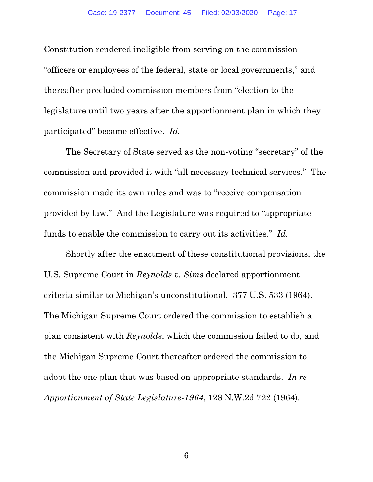Constitution rendered ineligible from serving on the commission "officers or employees of the federal, state or local governments," and thereafter precluded commission members from "election to the legislature until two years after the apportionment plan in which they participated" became effective. *Id.* 

The Secretary of State served as the non-voting "secretary" of the commission and provided it with "all necessary technical services." The commission made its own rules and was to "receive compensation provided by law." And the Legislature was required to "appropriate funds to enable the commission to carry out its activities." *Id.*

Shortly after the enactment of these constitutional provisions, the U.S. Supreme Court in *Reynolds v. Sims* declared apportionment criteria similar to Michigan's unconstitutional. 377 U.S. 533 (1964). The Michigan Supreme Court ordered the commission to establish a plan consistent with *Reynolds*, which the commission failed to do, and the Michigan Supreme Court thereafter ordered the commission to adopt the one plan that was based on appropriate standards. *In re Apportionment of State Legislature-1964*, 128 N.W.2d 722 (1964).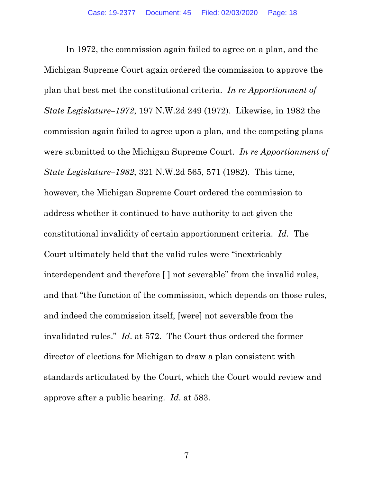In 1972, the commission again failed to agree on a plan, and the Michigan Supreme Court again ordered the commission to approve the plan that best met the constitutional criteria. *In re Apportionment of State Legislature–1972*, 197 N.W.2d 249 (1972). Likewise, in 1982 the commission again failed to agree upon a plan, and the competing plans were submitted to the Michigan Supreme Court. *In re Apportionment of State Legislature–1982*, 321 N.W.2d 565, 571 (1982). This time, however, the Michigan Supreme Court ordered the commission to address whether it continued to have authority to act given the constitutional invalidity of certain apportionment criteria. *Id.* The Court ultimately held that the valid rules were "inextricably interdependent and therefore [ ] not severable" from the invalid rules, and that "the function of the commission, which depends on those rules, and indeed the commission itself, [were] not severable from the invalidated rules." *Id*. at 572. The Court thus ordered the former director of elections for Michigan to draw a plan consistent with standards articulated by the Court, which the Court would review and approve after a public hearing. *Id*. at 583.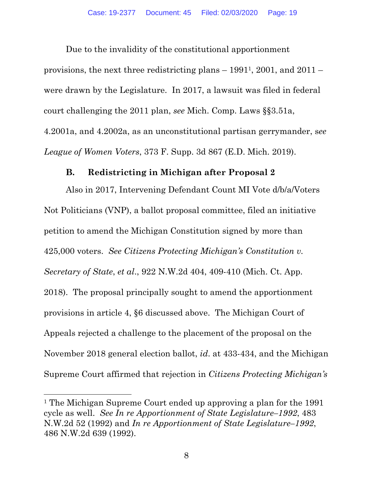Due to the invalidity of the constitutional apportionment provisions, the next three redistricting plans – 19911, 2001, and 2011 – were drawn by the Legislature. In 2017, a lawsuit was filed in federal court challenging the 2011 plan, *see* Mich. Comp. Laws §§3.51a, 4.2001a, and 4.2002a, as an unconstitutional partisan gerrymander, s*ee League of Women Voters*, 373 F. Supp. 3d 867 (E.D. Mich. 2019).

### **B. Redistricting in Michigan after Proposal 2**

Also in 2017, Intervening Defendant Count MI Vote d/b/a/Voters Not Politicians (VNP), a ballot proposal committee, filed an initiative petition to amend the Michigan Constitution signed by more than 425,000 voters. *See Citizens Protecting Michigan's Constitution v. Secretary of State*, *et al*., 922 N.W.2d 404, 409-410 (Mich. Ct. App. 2018). The proposal principally sought to amend the apportionment provisions in article 4, §6 discussed above. The Michigan Court of Appeals rejected a challenge to the placement of the proposal on the November 2018 general election ballot, *id*. at 433-434, and the Michigan Supreme Court affirmed that rejection in *Citizens Protecting Michigan's* 

<sup>1</sup> The Michigan Supreme Court ended up approving a plan for the 1991 cycle as well. *See In re Apportionment of State Legislature–1992*, 483 N.W.2d 52 (1992) and *In re Apportionment of State Legislature–1992*, 486 N.W.2d 639 (1992).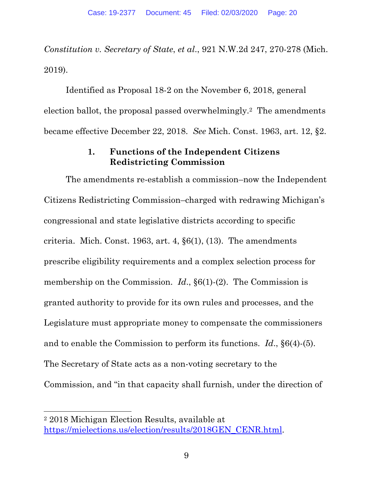*Constitution v. Secretary of State*, *et al*., 921 N.W.2d 247, 270-278 (Mich. 2019).

Identified as Proposal 18-2 on the November 6, 2018, general election ballot, the proposal passed overwhelmingly.2 The amendments became effective December 22, 2018. *See* Mich. Const. 1963, art. 12, §2.

### **1. Functions of the Independent Citizens Redistricting Commission**

The amendments re-establish a commission–now the Independent Citizens Redistricting Commission–charged with redrawing Michigan's congressional and state legislative districts according to specific criteria. Mich. Const. 1963, art. 4, §6(1), (13). The amendments prescribe eligibility requirements and a complex selection process for membership on the Commission. *Id.*,  $\S6(1)$ -(2). The Commission is granted authority to provide for its own rules and processes, and the Legislature must appropriate money to compensate the commissioners and to enable the Commission to perform its functions. *Id*., §6(4)-(5). The Secretary of State acts as a non-voting secretary to the Commission, and "in that capacity shall furnish, under the direction of

<sup>2 2018</sup> Michigan Election Results, available at https://mielections.us/election/results/2018GEN\_CENR.html.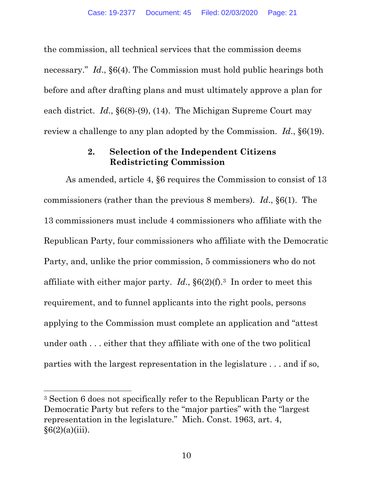the commission, all technical services that the commission deems necessary." *Id*., §6(4). The Commission must hold public hearings both before and after drafting plans and must ultimately approve a plan for each district. *Id*., §6(8)-(9), (14). The Michigan Supreme Court may review a challenge to any plan adopted by the Commission. *Id*., §6(19).

### **2. Selection of the Independent Citizens Redistricting Commission**

As amended, article 4, §6 requires the Commission to consist of 13 commissioners (rather than the previous 8 members). *Id*., §6(1). The 13 commissioners must include 4 commissioners who affiliate with the Republican Party, four commissioners who affiliate with the Democratic Party, and, unlike the prior commission, 5 commissioners who do not affiliate with either major party. *Id*., §6(2)(f).3 In order to meet this requirement, and to funnel applicants into the right pools, persons applying to the Commission must complete an application and "attest under oath . . . either that they affiliate with one of the two political parties with the largest representation in the legislature . . . and if so,

<sup>3</sup> Section 6 does not specifically refer to the Republican Party or the Democratic Party but refers to the "major parties" with the "largest representation in the legislature." Mich. Const. 1963, art. 4,  $§6(2)(a)(iii)$ .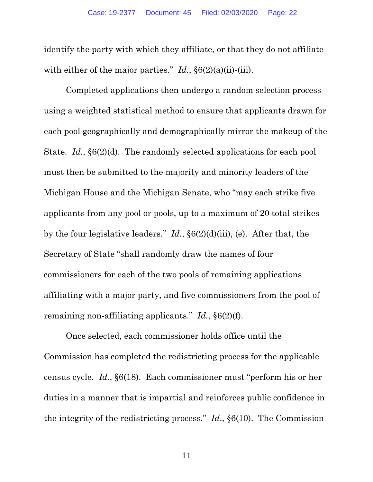identify the party with which they affiliate, or that they do not affiliate with either of the major parties." *Id.*, §6(2)(a)(ii)-(iii).

Completed applications then undergo a random selection process using a weighted statistical method to ensure that applicants drawn for each pool geographically and demographically mirror the makeup of the State. *Id.*, §6(2)(d). The randomly selected applications for each pool must then be submitted to the majority and minority leaders of the Michigan House and the Michigan Senate, who "may each strike five applicants from any pool or pools, up to a maximum of 20 total strikes by the four legislative leaders." *Id.*, §6(2)(d)(iii), (e). After that, the Secretary of State "shall randomly draw the names of four commissioners for each of the two pools of remaining applications affiliating with a major party, and five commissioners from the pool of remaining non-affiliating applicants." *Id.*, §6(2)(f).

Once selected, each commissioner holds office until the Commission has completed the redistricting process for the applicable census cycle. *Id.*, §6(18). Each commissioner must "perform his or her duties in a manner that is impartial and reinforces public confidence in the integrity of the redistricting process." *Id*., §6(10). The Commission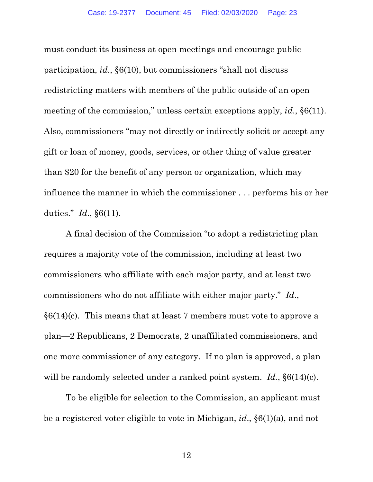must conduct its business at open meetings and encourage public participation, *id*., §6(10), but commissioners "shall not discuss redistricting matters with members of the public outside of an open meeting of the commission," unless certain exceptions apply, *id*., §6(11). Also, commissioners "may not directly or indirectly solicit or accept any gift or loan of money, goods, services, or other thing of value greater than \$20 for the benefit of any person or organization, which may influence the manner in which the commissioner . . . performs his or her duties." *Id*., §6(11).

A final decision of the Commission "to adopt a redistricting plan requires a majority vote of the commission, including at least two commissioners who affiliate with each major party, and at least two commissioners who do not affiliate with either major party." *Id*.,  $§6(14)$ (c). This means that at least 7 members must vote to approve a plan—2 Republicans, 2 Democrats, 2 unaffiliated commissioners, and one more commissioner of any category. If no plan is approved, a plan will be randomly selected under a ranked point system. *Id.*, §6(14)(c).

To be eligible for selection to the Commission, an applicant must be a registered voter eligible to vote in Michigan, *id*., §6(1)(a), and not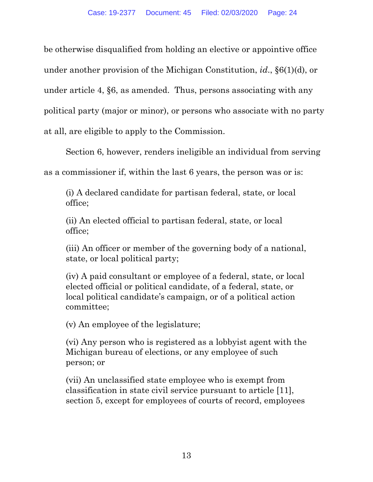be otherwise disqualified from holding an elective or appointive office under another provision of the Michigan Constitution, *id*., §6(1)(d), or under article 4, §6, as amended. Thus, persons associating with any political party (major or minor), or persons who associate with no party at all, are eligible to apply to the Commission.

Section 6, however, renders ineligible an individual from serving

as a commissioner if, within the last 6 years, the person was or is:

(i) A declared candidate for partisan federal, state, or local office;

(ii) An elected official to partisan federal, state, or local office;

(iii) An officer or member of the governing body of a national, state, or local political party;

(iv) A paid consultant or employee of a federal, state, or local elected official or political candidate, of a federal, state, or local political candidate's campaign, or of a political action committee;

(v) An employee of the legislature;

(vi) Any person who is registered as a lobbyist agent with the Michigan bureau of elections, or any employee of such person; or

(vii) An unclassified state employee who is exempt from classification in state civil service pursuant to article [11], section 5, except for employees of courts of record, employees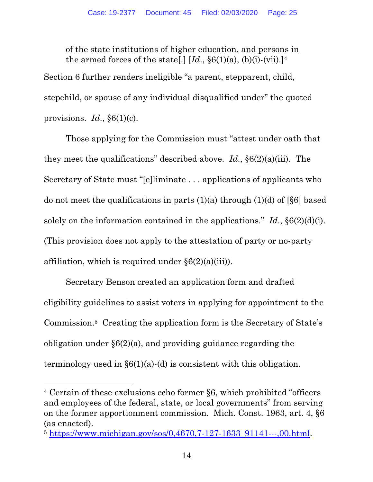of the state institutions of higher education, and persons in the armed forces of the state[.]  $Id.$ ,  $\S6(1)(a)$ ,  $(b)(i)-(vii).$ <sup>[4]</sup>

Section 6 further renders ineligible "a parent, stepparent, child, stepchild, or spouse of any individual disqualified under" the quoted provisions.  $Id.$ ,  $\S6(1)(c)$ .

Those applying for the Commission must "attest under oath that they meet the qualifications" described above. *Id*., §6(2)(a)(iii). The Secretary of State must "[e]liminate . . . applications of applicants who do not meet the qualifications in parts  $(1)(a)$  through  $(1)(d)$  of [§6] based solely on the information contained in the applications."  $Id.$ ,  $\S6(2)(d)(i)$ . (This provision does not apply to the attestation of party or no-party affiliation, which is required under  $\S6(2)(a)(iii)$ .

Secretary Benson created an application form and drafted eligibility guidelines to assist voters in applying for appointment to the Commission.5 Creating the application form is the Secretary of State's obligation under §6(2)(a), and providing guidance regarding the terminology used in  $\S6(1)(a)$ -(d) is consistent with this obligation.

<sup>4</sup> Certain of these exclusions echo former §6, which prohibited "officers and employees of the federal, state, or local governments" from serving on the former apportionment commission. Mich. Const. 1963, art. 4, §6 (as enacted).

<sup>5</sup> https://www.michigan.gov/sos/0,4670,7-127-1633\_91141---,00.html.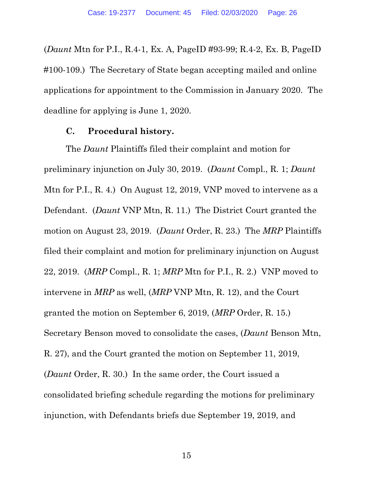(*Daunt* Mtn for P.I., R.4-1, Ex. A, PageID #93-99; R.4-2, Ex. B, PageID #100-109.) The Secretary of State began accepting mailed and online applications for appointment to the Commission in January 2020. The deadline for applying is June 1, 2020.

### **C. Procedural history.**

The *Daunt* Plaintiffs filed their complaint and motion for preliminary injunction on July 30, 2019. (*Daunt* Compl., R. 1; *Daunt* Mtn for P.I., R. 4.) On August 12, 2019, VNP moved to intervene as a Defendant. (*Daunt* VNP Mtn, R. 11.) The District Court granted the motion on August 23, 2019. (*Daunt* Order, R. 23.) The *MRP* Plaintiffs filed their complaint and motion for preliminary injunction on August 22, 2019. (*MRP* Compl., R. 1; *MRP* Mtn for P.I., R. 2.) VNP moved to intervene in *MRP* as well, (*MRP* VNP Mtn, R. 12), and the Court granted the motion on September 6, 2019, (*MRP* Order, R. 15.) Secretary Benson moved to consolidate the cases, (*Daunt* Benson Mtn, R. 27), and the Court granted the motion on September 11, 2019, (*Daunt* Order, R. 30.) In the same order, the Court issued a consolidated briefing schedule regarding the motions for preliminary injunction, with Defendants briefs due September 19, 2019, and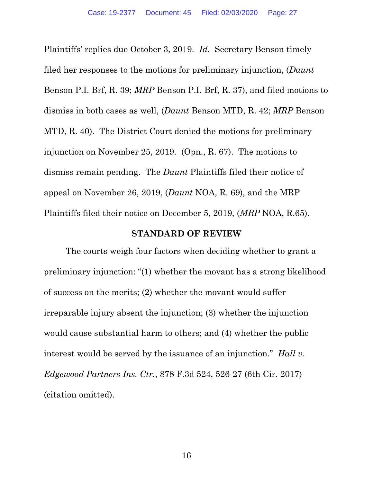Plaintiffs' replies due October 3, 2019. *Id.* Secretary Benson timely filed her responses to the motions for preliminary injunction, (*Daunt* Benson P.I. Brf, R. 39; *MRP* Benson P.I. Brf, R. 37), and filed motions to dismiss in both cases as well, (*Daunt* Benson MTD, R. 42; *MRP* Benson MTD, R. 40). The District Court denied the motions for preliminary injunction on November 25, 2019. (Opn., R. 67). The motions to dismiss remain pending. The *Daunt* Plaintiffs filed their notice of appeal on November 26, 2019, (*Daunt* NOA, R. 69), and the MRP Plaintiffs filed their notice on December 5, 2019, (*MRP* NOA, R.65).

#### **STANDARD OF REVIEW**

The courts weigh four factors when deciding whether to grant a preliminary injunction: "(1) whether the movant has a strong likelihood of success on the merits; (2) whether the movant would suffer irreparable injury absent the injunction; (3) whether the injunction would cause substantial harm to others; and (4) whether the public interest would be served by the issuance of an injunction." *Hall v. Edgewood Partners Ins. Ctr.*, 878 F.3d 524, 526-27 (6th Cir. 2017) (citation omitted).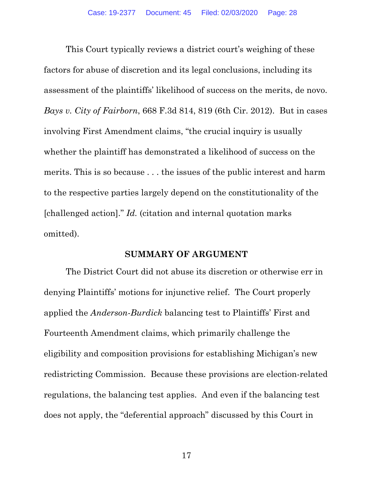This Court typically reviews a district court's weighing of these factors for abuse of discretion and its legal conclusions, including its assessment of the plaintiffs' likelihood of success on the merits, de novo. *Bays v. City of Fairborn*, 668 F.3d 814, 819 (6th Cir. 2012). But in cases involving First Amendment claims, "the crucial inquiry is usually whether the plaintiff has demonstrated a likelihood of success on the merits. This is so because . . . the issues of the public interest and harm to the respective parties largely depend on the constitutionality of the [challenged action]." *Id.* (citation and internal quotation marks omitted).

#### **SUMMARY OF ARGUMENT**

The District Court did not abuse its discretion or otherwise err in denying Plaintiffs' motions for injunctive relief. The Court properly applied the *Anderson-Burdick* balancing test to Plaintiffs' First and Fourteenth Amendment claims, which primarily challenge the eligibility and composition provisions for establishing Michigan's new redistricting Commission. Because these provisions are election-related regulations, the balancing test applies. And even if the balancing test does not apply, the "deferential approach" discussed by this Court in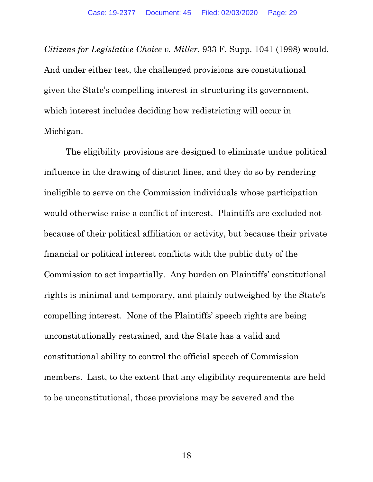*Citizens for Legislative Choice v. Miller*, 933 F. Supp. 1041 (1998) would. And under either test, the challenged provisions are constitutional given the State's compelling interest in structuring its government, which interest includes deciding how redistricting will occur in Michigan.

The eligibility provisions are designed to eliminate undue political influence in the drawing of district lines, and they do so by rendering ineligible to serve on the Commission individuals whose participation would otherwise raise a conflict of interest. Plaintiffs are excluded not because of their political affiliation or activity, but because their private financial or political interest conflicts with the public duty of the Commission to act impartially. Any burden on Plaintiffs' constitutional rights is minimal and temporary, and plainly outweighed by the State's compelling interest. None of the Plaintiffs' speech rights are being unconstitutionally restrained, and the State has a valid and constitutional ability to control the official speech of Commission members. Last, to the extent that any eligibility requirements are held to be unconstitutional, those provisions may be severed and the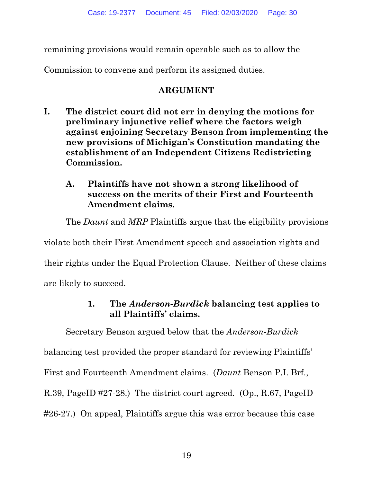remaining provisions would remain operable such as to allow the

Commission to convene and perform its assigned duties.

# **ARGUMENT**

**I. The district court did not err in denying the motions for preliminary injunctive relief where the factors weigh against enjoining Secretary Benson from implementing the new provisions of Michigan's Constitution mandating the establishment of an Independent Citizens Redistricting Commission.** 

## **A. Plaintiffs have not shown a strong likelihood of success on the merits of their First and Fourteenth Amendment claims.**

The *Daunt* and *MRP* Plaintiffs argue that the eligibility provisions

violate both their First Amendment speech and association rights and their rights under the Equal Protection Clause. Neither of these claims are likely to succeed.

# **1. The** *Anderson-Burdick* **balancing test applies to all Plaintiffs' claims.**

Secretary Benson argued below that the *Anderson-Burdick* balancing test provided the proper standard for reviewing Plaintiffs' First and Fourteenth Amendment claims. (*Daunt* Benson P.I. Brf., R.39, PageID #27-28.) The district court agreed. (Op., R.67, PageID #26-27.) On appeal, Plaintiffs argue this was error because this case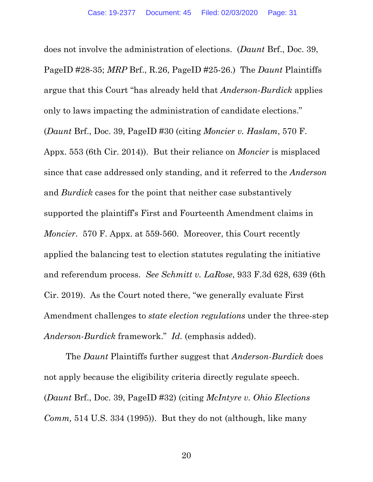does not involve the administration of elections. (*Daunt* Brf., Doc. 39, PageID #28-35; *MRP* Brf., R.26, PageID #25-26.) The *Daunt* Plaintiffs argue that this Court "has already held that *Anderson-Burdick* applies only to laws impacting the administration of candidate elections." (*Daunt* Brf., Doc. 39, PageID #30 (citing *Moncier v. Haslam*, 570 F. Appx. 553 (6th Cir. 2014)). But their reliance on *Moncier* is misplaced since that case addressed only standing, and it referred to the *Anderson* and *Burdick* cases for the point that neither case substantively supported the plaintiff's First and Fourteenth Amendment claims in *Moncier*. 570 F. Appx. at 559-560. Moreover, this Court recently applied the balancing test to election statutes regulating the initiative and referendum process. *See Schmitt v. LaRose*, 933 F.3d 628, 639 (6th Cir. 2019). As the Court noted there, "we generally evaluate First Amendment challenges to *state election regulations* under the three-step *Anderson*-*Burdick* framework." *Id.* (emphasis added).

The *Daunt* Plaintiffs further suggest that *Anderson-Burdick* does not apply because the eligibility criteria directly regulate speech. (*Daunt* Brf., Doc. 39, PageID #32) (citing *McIntyre v. Ohio Elections Comm,* 514 U.S. 334 (1995)). But they do not (although, like many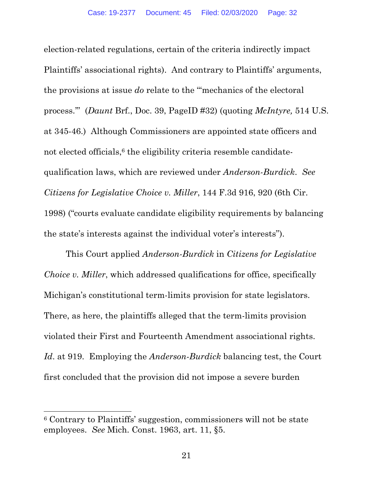election-related regulations, certain of the criteria indirectly impact Plaintiffs' associational rights). And contrary to Plaintiffs' arguments, the provisions at issue *do* relate to the "'mechanics of the electoral process.'" (*Daunt* Brf., Doc. 39, PageID #32) (quoting *McIntyre,* 514 U.S. at 345-46.) Although Commissioners are appointed state officers and not elected officials,<sup>6</sup> the eligibility criteria resemble candidatequalification laws, which are reviewed under *Anderson-Burdick*. *See Citizens for Legislative Choice v. Miller*, 144 F.3d 916, 920 (6th Cir. 1998) ("courts evaluate candidate eligibility requirements by balancing the state's interests against the individual voter's interests").

This Court applied *Anderson-Burdick* in *Citizens for Legislative Choice v. Miller*, which addressed qualifications for office, specifically Michigan's constitutional term-limits provision for state legislators. There, as here, the plaintiffs alleged that the term-limits provision violated their First and Fourteenth Amendment associational rights. *Id*. at 919. Employing the *Anderson-Burdick* balancing test, the Court first concluded that the provision did not impose a severe burden

<sup>6</sup> Contrary to Plaintiffs' suggestion, commissioners will not be state employees. *See* Mich. Const. 1963, art. 11, §5.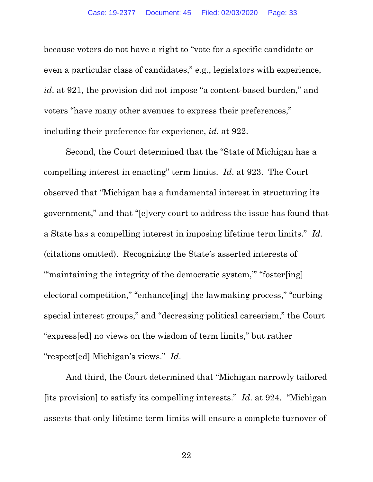because voters do not have a right to "vote for a specific candidate or even a particular class of candidates," e.g., legislators with experience, *id*. at 921, the provision did not impose "a content-based burden," and voters "have many other avenues to express their preferences," including their preference for experience, *id*. at 922.

Second, the Court determined that the "State of Michigan has a compelling interest in enacting" term limits. *Id*. at 923. The Court observed that "Michigan has a fundamental interest in structuring its government," and that "[e]very court to address the issue has found that a State has a compelling interest in imposing lifetime term limits." *Id.* (citations omitted). Recognizing the State's asserted interests of "" maintaining the integrity of the democratic system," "foster[ing] electoral competition," "enhance[ing] the lawmaking process," "curbing special interest groups," and "decreasing political careerism," the Court "express[ed] no views on the wisdom of term limits," but rather "respect[ed] Michigan's views." *Id*.

And third, the Court determined that "Michigan narrowly tailored [its provision] to satisfy its compelling interests." *Id*. at 924. "Michigan asserts that only lifetime term limits will ensure a complete turnover of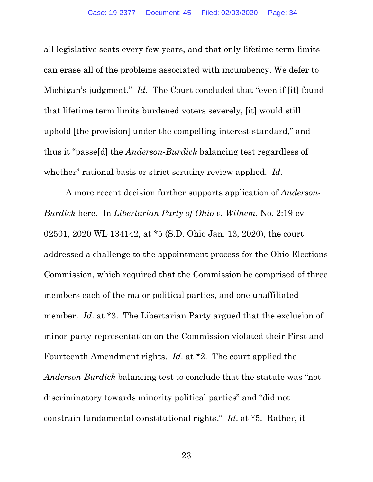all legislative seats every few years, and that only lifetime term limits can erase all of the problems associated with incumbency. We defer to Michigan's judgment." *Id.* The Court concluded that "even if [it] found that lifetime term limits burdened voters severely, [it] would still uphold [the provision] under the compelling interest standard," and thus it "passe[d] the *Anderson*-*Burdick* balancing test regardless of whether" rational basis or strict scrutiny review applied. *Id.* 

A more recent decision further supports application of *Anderson-Burdick* here. In *Libertarian Party of Ohio v. Wilhem*, No. 2:19-cv-02501, 2020 WL 134142, at \*5 (S.D. Ohio Jan. 13, 2020), the court addressed a challenge to the appointment process for the Ohio Elections Commission, which required that the Commission be comprised of three members each of the major political parties, and one unaffiliated member. *Id.* at \*3. The Libertarian Party argued that the exclusion of minor-party representation on the Commission violated their First and Fourteenth Amendment rights. *Id*. at \*2. The court applied the *Anderson-Burdick* balancing test to conclude that the statute was "not discriminatory towards minority political parties" and "did not constrain fundamental constitutional rights." *Id*. at \*5. Rather, it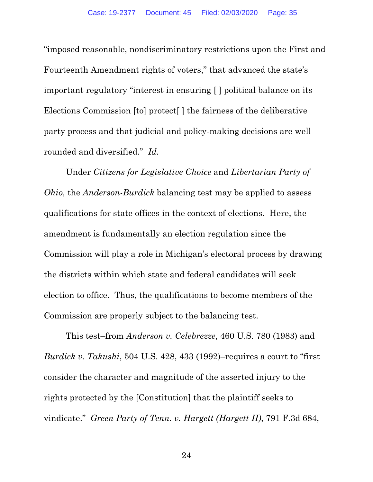"imposed reasonable, nondiscriminatory restrictions upon the First and Fourteenth Amendment rights of voters," that advanced the state's important regulatory "interest in ensuring [ ] political balance on its Elections Commission [to] protect[ ] the fairness of the deliberative party process and that judicial and policy-making decisions are well rounded and diversified." *Id.* 

Under *Citizens for Legislative Choice* and *Libertarian Party of Ohio,* the *Anderson-Burdick* balancing test may be applied to assess qualifications for state offices in the context of elections. Here, the amendment is fundamentally an election regulation since the Commission will play a role in Michigan's electoral process by drawing the districts within which state and federal candidates will seek election to office. Thus, the qualifications to become members of the Commission are properly subject to the balancing test.

This test–from *Anderson v. Celebrezze*, 460 U.S. 780 (1983) and *Burdick v. Takushi*, 504 U.S. 428, 433 (1992)–requires a court to "first consider the character and magnitude of the asserted injury to the rights protected by the [Constitution] that the plaintiff seeks to vindicate." *Green Party of Tenn. v. Hargett (Hargett II)*, 791 F.3d 684,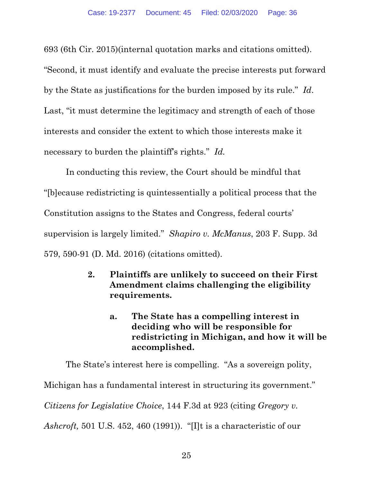693 (6th Cir. 2015)(internal quotation marks and citations omitted). "Second, it must identify and evaluate the precise interests put forward by the State as justifications for the burden imposed by its rule." *Id*. Last, "it must determine the legitimacy and strength of each of those interests and consider the extent to which those interests make it necessary to burden the plaintiff's rights." *Id.*

 In conducting this review, the Court should be mindful that "[b]ecause redistricting is quintessentially a political process that the Constitution assigns to the States and Congress, federal courts' supervision is largely limited." *Shapiro v. McManus*, 203 F. Supp. 3d 579, 590-91 (D. Md. 2016) (citations omitted).

- **2. Plaintiffs are unlikely to succeed on their First Amendment claims challenging the eligibility requirements.** 
	- **a. The State has a compelling interest in deciding who will be responsible for redistricting in Michigan, and how it will be accomplished.**

The State's interest here is compelling. "As a sovereign polity, Michigan has a fundamental interest in structuring its government." *Citizens for Legislative Choice*, 144 F.3d at 923 (citing *Gregory v. Ashcroft,* 501 U.S. 452, 460 (1991)). "[I]t is a characteristic of our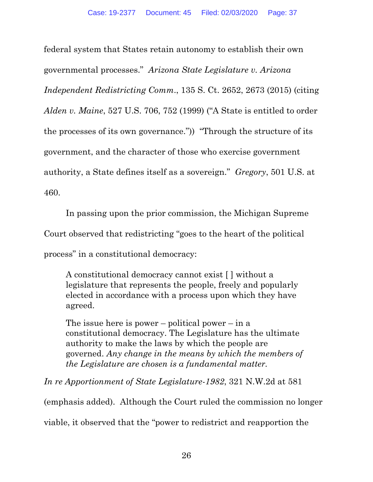federal system that States retain autonomy to establish their own governmental processes." *Arizona State Legislature v. Arizona Independent Redistricting Comm*., 135 S. Ct. 2652, 2673 (2015) (citing *Alden v. Maine*, 527 U.S. 706, 752 (1999) ("A State is entitled to order the processes of its own governance.")) "Through the structure of its government, and the character of those who exercise government authority, a State defines itself as a sovereign." *Gregory*, 501 U.S. at 460.

In passing upon the prior commission, the Michigan Supreme Court observed that redistricting "goes to the heart of the political process" in a constitutional democracy:

A constitutional democracy cannot exist [ ] without a legislature that represents the people, freely and popularly elected in accordance with a process upon which they have agreed.

The issue here is power – political power – in a constitutional democracy. The Legislature has the ultimate authority to make the laws by which the people are governed. *Any change in the means by which the members of the Legislature are chosen is a fundamental matter.* 

*In re Apportionment of State Legislature-1982*, 321 N.W.2d at 581

(emphasis added). Although the Court ruled the commission no longer

viable, it observed that the "power to redistrict and reapportion the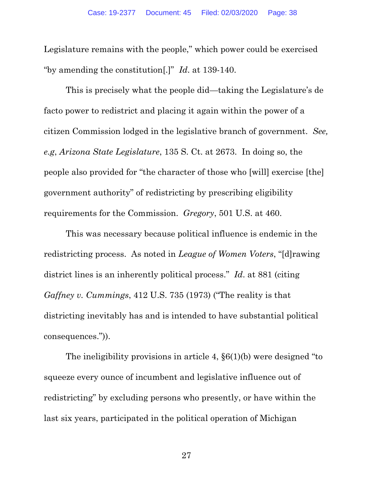Legislature remains with the people," which power could be exercised "by amending the constitution[.]" *Id*. at 139-140.

 This is precisely what the people did—taking the Legislature's de facto power to redistrict and placing it again within the power of a citizen Commission lodged in the legislative branch of government. *See, e.g*, *Arizona State Legislature*, 135 S. Ct. at 2673. In doing so, the people also provided for "the character of those who [will] exercise [the] government authority" of redistricting by prescribing eligibility requirements for the Commission. *Gregory*, 501 U.S. at 460.

 This was necessary because political influence is endemic in the redistricting process. As noted in *League of Women Voters*, "[d]rawing district lines is an inherently political process." *Id*. at 881 (citing *Gaffney v. Cummings*, 412 U.S. 735 (1973) ("The reality is that districting inevitably has and is intended to have substantial political consequences.")).

The ineligibility provisions in article 4, §6(1)(b) were designed "to squeeze every ounce of incumbent and legislative influence out of redistricting" by excluding persons who presently, or have within the last six years, participated in the political operation of Michigan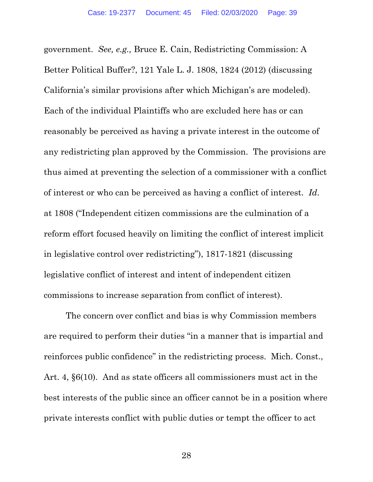government. *See, e.g.,* Bruce E. Cain, Redistricting Commission: A Better Political Buffer?, 121 Yale L. J. 1808, 1824 (2012) (discussing California's similar provisions after which Michigan's are modeled). Each of the individual Plaintiffs who are excluded here has or can reasonably be perceived as having a private interest in the outcome of any redistricting plan approved by the Commission. The provisions are thus aimed at preventing the selection of a commissioner with a conflict of interest or who can be perceived as having a conflict of interest. *Id*. at 1808 ("Independent citizen commissions are the culmination of a reform effort focused heavily on limiting the conflict of interest implicit in legislative control over redistricting"), 1817-1821 (discussing legislative conflict of interest and intent of independent citizen commissions to increase separation from conflict of interest).

The concern over conflict and bias is why Commission members are required to perform their duties "in a manner that is impartial and reinforces public confidence" in the redistricting process. Mich. Const., Art. 4, §6(10). And as state officers all commissioners must act in the best interests of the public since an officer cannot be in a position where private interests conflict with public duties or tempt the officer to act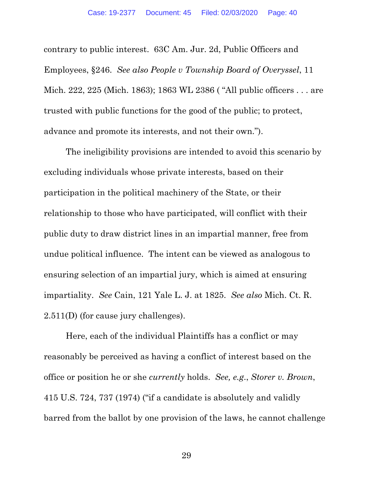contrary to public interest. 63C Am. Jur. 2d, Public Officers and Employees, §246. *See also People v Township Board of Overyssel*, 11 Mich. 222, 225 (Mich. 1863); 1863 WL 2386 ( "All public officers . . . are trusted with public functions for the good of the public; to protect, advance and promote its interests, and not their own.").

The ineligibility provisions are intended to avoid this scenario by excluding individuals whose private interests, based on their participation in the political machinery of the State, or their relationship to those who have participated, will conflict with their public duty to draw district lines in an impartial manner, free from undue political influence. The intent can be viewed as analogous to ensuring selection of an impartial jury, which is aimed at ensuring impartiality. *See* Cain, 121 Yale L. J. at 1825. *See also* Mich. Ct. R. 2.511(D) (for cause jury challenges).

Here, each of the individual Plaintiffs has a conflict or may reasonably be perceived as having a conflict of interest based on the office or position he or she *currently* holds. *See, e.g*., *Storer v. Brown*, 415 U.S. 724, 737 (1974) ("if a candidate is absolutely and validly barred from the ballot by one provision of the laws, he cannot challenge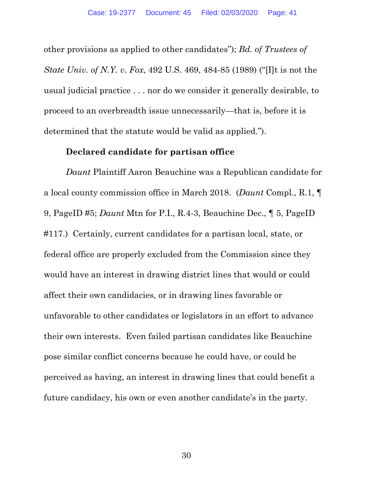other provisions as applied to other candidates"); *Bd. of Trustees of State Univ. of N.Y. v. Fox*, 492 U.S. 469, 484-85 (1989) ("[I]t is not the usual judicial practice . . . nor do we consider it generally desirable, to proceed to an overbreadth issue unnecessarily—that is, before it is determined that the statute would be valid as applied.").

#### **Declared candidate for partisan office**

*Daunt* Plaintiff Aaron Beauchine was a Republican candidate for a local county commission office in March 2018. (*Daunt* Compl., R.1, ¶ 9, PageID #5; *Daunt* Mtn for P.I., R.4-3, Beauchine Dec., ¶ 5, PageID #117.) Certainly, current candidates for a partisan local, state, or federal office are properly excluded from the Commission since they would have an interest in drawing district lines that would or could affect their own candidacies, or in drawing lines favorable or unfavorable to other candidates or legislators in an effort to advance their own interests. Even failed partisan candidates like Beauchine pose similar conflict concerns because he could have, or could be perceived as having, an interest in drawing lines that could benefit a future candidacy, his own or even another candidate's in the party.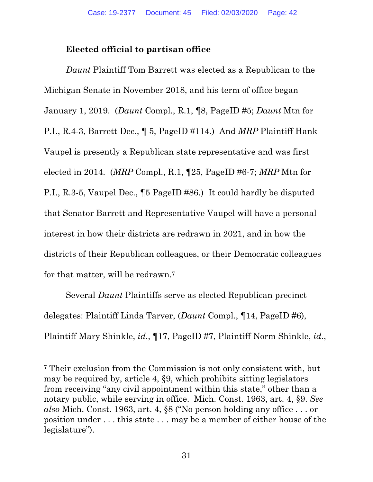# **Elected official to partisan office**

*Daunt* Plaintiff Tom Barrett was elected as a Republican to the Michigan Senate in November 2018, and his term of office began January 1, 2019. (*Daunt* Compl., R.1, ¶8, PageID #5; *Daunt* Mtn for P.I., R.4-3, Barrett Dec., ¶ 5, PageID #114.) And *MRP* Plaintiff Hank Vaupel is presently a Republican state representative and was first elected in 2014. (*MRP* Compl., R.1, ¶25, PageID #6-7; *MRP* Mtn for P.I., R.3-5, Vaupel Dec., ¶5 PageID #86.) It could hardly be disputed that Senator Barrett and Representative Vaupel will have a personal interest in how their districts are redrawn in 2021, and in how the districts of their Republican colleagues, or their Democratic colleagues for that matter, will be redrawn.7

Several *Daunt* Plaintiffs serve as elected Republican precinct delegates: Plaintiff Linda Tarver, (*Daunt* Compl., ¶14, PageID #6), Plaintiff Mary Shinkle, *id*., ¶17, PageID #7, Plaintiff Norm Shinkle, *id*.,

<sup>7</sup> Their exclusion from the Commission is not only consistent with, but may be required by, article 4, §9, which prohibits sitting legislators from receiving "any civil appointment within this state," other than a notary public, while serving in office. Mich. Const. 1963, art. 4, §9. *See also* Mich. Const. 1963, art. 4, §8 ("No person holding any office . . . or position under . . . this state . . . may be a member of either house of the legislature").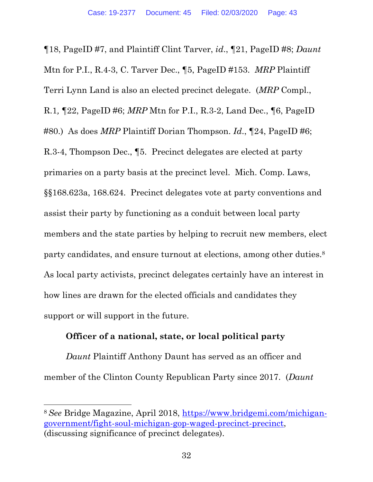¶18, PageID #7, and Plaintiff Clint Tarver, *id*., ¶21, PageID #8; *Daunt* Mtn for P.I., R.4-3, C. Tarver Dec., ¶5, PageID #153. *MRP* Plaintiff Terri Lynn Land is also an elected precinct delegate. (*MRP* Compl., R.1*,* ¶22, PageID #6; *MRP* Mtn for P.I., R.3-2, Land Dec., ¶6, PageID #80.) As does *MRP* Plaintiff Dorian Thompson. *Id*., ¶24, PageID #6; R.3-4, Thompson Dec., ¶5. Precinct delegates are elected at party primaries on a party basis at the precinct level. Mich. Comp. Laws, §§168.623a, 168.624. Precinct delegates vote at party conventions and assist their party by functioning as a conduit between local party members and the state parties by helping to recruit new members, elect party candidates, and ensure turnout at elections, among other duties.<sup>8</sup> As local party activists, precinct delegates certainly have an interest in how lines are drawn for the elected officials and candidates they support or will support in the future.

### **Officer of a national, state, or local political party**

*Daunt* Plaintiff Anthony Daunt has served as an officer and member of the Clinton County Republican Party since 2017. (*Daunt*

<sup>8</sup> *See* Bridge Magazine, April 2018, https://www.bridgemi.com/michigangovernment/fight-soul-michigan-gop-waged-precinct-precinct, (discussing significance of precinct delegates).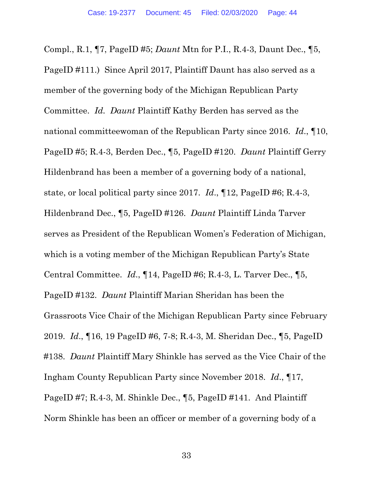Compl., R.1, ¶7, PageID #5; *Daunt* Mtn for P.I., R.4-3, Daunt Dec., ¶5, PageID #111.) Since April 2017, Plaintiff Daunt has also served as a member of the governing body of the Michigan Republican Party Committee. *Id. Daunt* Plaintiff Kathy Berden has served as the national committeewoman of the Republican Party since 2016. *Id*., ¶10, PageID #5; R.4-3, Berden Dec., ¶5, PageID #120. *Daunt* Plaintiff Gerry Hildenbrand has been a member of a governing body of a national, state, or local political party since 2017. *Id*., ¶12, PageID #6; R.4-3, Hildenbrand Dec., ¶5, PageID #126. *Daunt* Plaintiff Linda Tarver serves as President of the Republican Women's Federation of Michigan, which is a voting member of the Michigan Republican Party's State Central Committee. *Id*., ¶14, PageID #6; R.4-3, L. Tarver Dec., ¶5, PageID #132. *Daunt* Plaintiff Marian Sheridan has been the Grassroots Vice Chair of the Michigan Republican Party since February 2019. *Id*., ¶16, 19 PageID #6, 7-8; R.4-3, M. Sheridan Dec., ¶5, PageID #138. *Daunt* Plaintiff Mary Shinkle has served as the Vice Chair of the Ingham County Republican Party since November 2018. *Id*., ¶17, PageID #7; R.4-3, M. Shinkle Dec., ¶5, PageID #141. And Plaintiff Norm Shinkle has been an officer or member of a governing body of a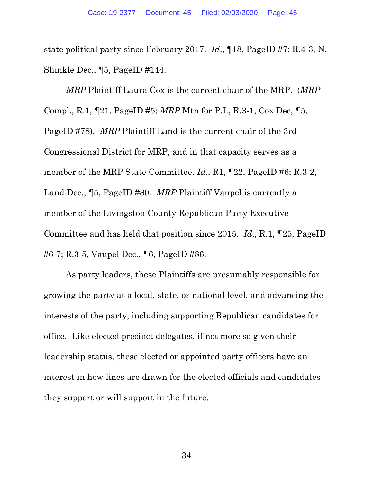state political party since February 2017. *Id*., ¶18, PageID #7; R.4-3, N. Shinkle Dec., ¶5, PageID #144.

*MRP* Plaintiff Laura Cox is the current chair of the MRP. (*MRP* Compl., R.1, ¶21, PageID #5; *MRP* Mtn for P.I., R.3-1, Cox Dec, ¶5, PageID #78). *MRP* Plaintiff Land is the current chair of the 3rd Congressional District for MRP, and in that capacity serves as a member of the MRP State Committee. *Id.*, R1,  $\P$ 22, PageID #6; R.3-2, Land Dec., ¶5, PageID #80. *MRP* Plaintiff Vaupel is currently a member of the Livingston County Republican Party Executive Committee and has held that position since 2015. *Id*., R.1, ¶25, PageID #6-7; R.3-5, Vaupel Dec., ¶6, PageID #86.

As party leaders, these Plaintiffs are presumably responsible for growing the party at a local, state, or national level, and advancing the interests of the party, including supporting Republican candidates for office. Like elected precinct delegates, if not more so given their leadership status, these elected or appointed party officers have an interest in how lines are drawn for the elected officials and candidates they support or will support in the future.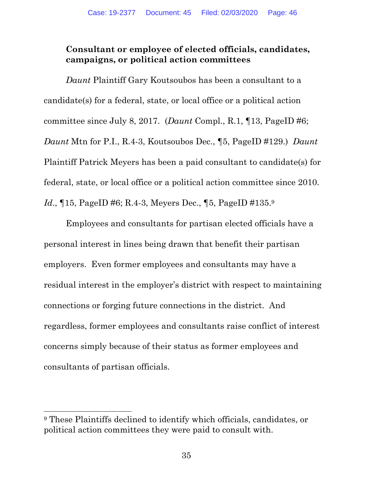# **Consultant or employee of elected officials, candidates, campaigns, or political action committees**

*Daunt* Plaintiff Gary Koutsoubos has been a consultant to a candidate(s) for a federal, state, or local office or a political action committee since July 8, 2017. (*Daunt* Compl., R.1, ¶13, PageID #6; *Daunt* Mtn for P.I., R.4-3, Koutsoubos Dec., ¶5, PageID #129.) *Daunt* Plaintiff Patrick Meyers has been a paid consultant to candidate(s) for federal, state, or local office or a political action committee since 2010. *Id.*, 15, PageID #6; R.4-3, Meyers Dec., 15, PageID #135.9

Employees and consultants for partisan elected officials have a personal interest in lines being drawn that benefit their partisan employers. Even former employees and consultants may have a residual interest in the employer's district with respect to maintaining connections or forging future connections in the district. And regardless, former employees and consultants raise conflict of interest concerns simply because of their status as former employees and consultants of partisan officials.

<sup>9</sup> These Plaintiffs declined to identify which officials, candidates, or political action committees they were paid to consult with.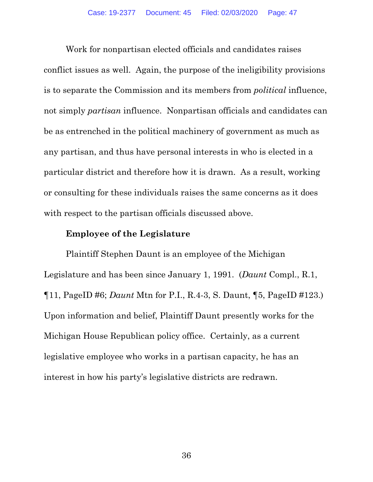Work for nonpartisan elected officials and candidates raises conflict issues as well. Again, the purpose of the ineligibility provisions is to separate the Commission and its members from *political* influence, not simply *partisan* influence. Nonpartisan officials and candidates can be as entrenched in the political machinery of government as much as any partisan, and thus have personal interests in who is elected in a particular district and therefore how it is drawn. As a result, working or consulting for these individuals raises the same concerns as it does with respect to the partisan officials discussed above.

#### **Employee of the Legislature**

Plaintiff Stephen Daunt is an employee of the Michigan Legislature and has been since January 1, 1991. (*Daunt* Compl., R.1, ¶11, PageID #6; *Daunt* Mtn for P.I., R.4-3, S. Daunt, ¶5, PageID #123.) Upon information and belief, Plaintiff Daunt presently works for the Michigan House Republican policy office. Certainly, as a current legislative employee who works in a partisan capacity, he has an interest in how his party's legislative districts are redrawn.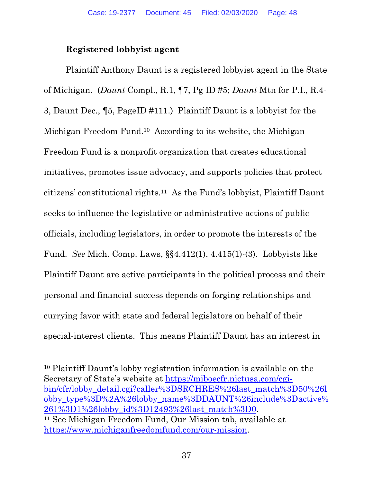### **Registered lobbyist agent**

Plaintiff Anthony Daunt is a registered lobbyist agent in the State of Michigan. (*Daunt* Compl., R.1, ¶7, Pg ID #5; *Daunt* Mtn for P.I., R.4- 3, Daunt Dec., ¶5, PageID #111.) Plaintiff Daunt is a lobbyist for the Michigan Freedom Fund.10 According to its website, the Michigan Freedom Fund is a nonprofit organization that creates educational initiatives, promotes issue advocacy, and supports policies that protect citizens' constitutional rights.11 As the Fund's lobbyist, Plaintiff Daunt seeks to influence the legislative or administrative actions of public officials, including legislators, in order to promote the interests of the Fund. *See* Mich. Comp. Laws, §§4.412(1), 4.415(1)-(3). Lobbyists like Plaintiff Daunt are active participants in the political process and their personal and financial success depends on forging relationships and currying favor with state and federal legislators on behalf of their special-interest clients. This means Plaintiff Daunt has an interest in

10 Plaintiff Daunt's lobby registration information is available on the Secretary of State's website at https://miboecfr.nictusa.com/cgibin/cfr/lobby\_detail.cgi?caller%3DSRCHRES%26last\_match%3D50%26l obby\_type%3D%2A%26lobby\_name%3DDAUNT%26include%3Dactive% 261%3D1%26lobby\_id%3D12493%26last\_match%3D0. 11 See Michigan Freedom Fund, Our Mission tab, available at https://www.michiganfreedomfund.com/our-mission.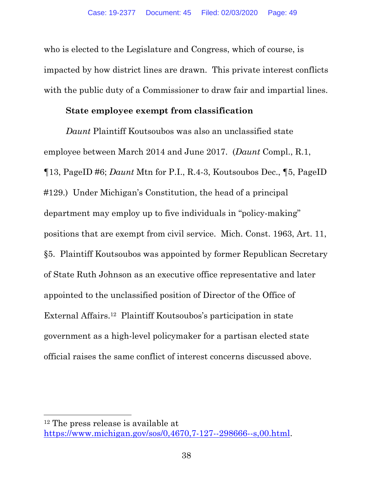who is elected to the Legislature and Congress, which of course, is impacted by how district lines are drawn. This private interest conflicts with the public duty of a Commissioner to draw fair and impartial lines.

### **State employee exempt from classification**

*Daunt* Plaintiff Koutsoubos was also an unclassified state employee between March 2014 and June 2017. (*Daunt* Compl., R.1, ¶13, PageID #6; *Daunt* Mtn for P.I., R.4-3, Koutsoubos Dec., ¶5, PageID #129.) Under Michigan's Constitution, the head of a principal department may employ up to five individuals in "policy-making" positions that are exempt from civil service. Mich. Const. 1963, Art. 11, §5. Plaintiff Koutsoubos was appointed by former Republican Secretary of State Ruth Johnson as an executive office representative and later appointed to the unclassified position of Director of the Office of External Affairs.12 Plaintiff Koutsoubos's participation in state government as a high-level policymaker for a partisan elected state official raises the same conflict of interest concerns discussed above.

<sup>12</sup> The press release is available at https://www.michigan.gov/sos/0,4670,7-127--298666--s,00.html.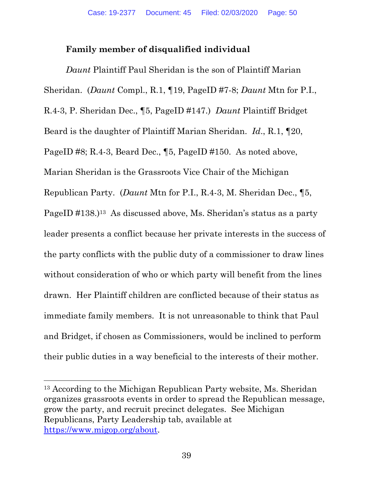# **Family member of disqualified individual**

*Daunt* Plaintiff Paul Sheridan is the son of Plaintiff Marian Sheridan. (*Daunt* Compl., R.1, ¶19, PageID #7-8; *Daunt* Mtn for P.I., R.4-3, P. Sheridan Dec., ¶5, PageID #147.) *Daunt* Plaintiff Bridget Beard is the daughter of Plaintiff Marian Sheridan. *Id*., R.1, ¶20, PageID #8; R.4-3, Beard Dec., ¶5, PageID #150. As noted above, Marian Sheridan is the Grassroots Vice Chair of the Michigan Republican Party. (*Daunt* Mtn for P.I., R.4-3, M. Sheridan Dec., ¶5, PageID #138.)<sup>13</sup> As discussed above, Ms. Sheridan's status as a party leader presents a conflict because her private interests in the success of the party conflicts with the public duty of a commissioner to draw lines without consideration of who or which party will benefit from the lines drawn. Her Plaintiff children are conflicted because of their status as immediate family members. It is not unreasonable to think that Paul and Bridget, if chosen as Commissioners, would be inclined to perform their public duties in a way beneficial to the interests of their mother.

<sup>13</sup> According to the Michigan Republican Party website, Ms. Sheridan organizes grassroots events in order to spread the Republican message, grow the party, and recruit precinct delegates. See Michigan Republicans, Party Leadership tab, available at https://www.migop.org/about.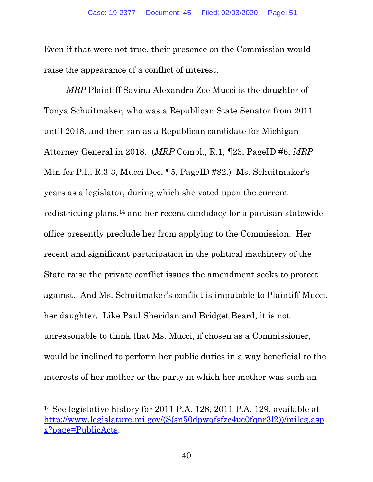Even if that were not true, their presence on the Commission would raise the appearance of a conflict of interest.

*MRP* Plaintiff Savina Alexandra Zoe Mucci is the daughter of Tonya Schuitmaker, who was a Republican State Senator from 2011 until 2018, and then ran as a Republican candidate for Michigan Attorney General in 2018. (*MRP* Compl., R.1, ¶23, PageID #6; *MRP* Mtn for P.I., R.3-3, Mucci Dec, ¶5, PageID #82.) Ms. Schuitmaker's years as a legislator, during which she voted upon the current redistricting plans,14 and her recent candidacy for a partisan statewide office presently preclude her from applying to the Commission. Her recent and significant participation in the political machinery of the State raise the private conflict issues the amendment seeks to protect against. And Ms. Schuitmaker's conflict is imputable to Plaintiff Mucci, her daughter. Like Paul Sheridan and Bridget Beard, it is not unreasonable to think that Ms. Mucci, if chosen as a Commissioner, would be inclined to perform her public duties in a way beneficial to the interests of her mother or the party in which her mother was such an

<sup>14</sup> See legislative history for 2011 P.A. 128, 2011 P.A. 129, available at http://www.legislature.mi.gov/(S(sn50dpwqfsfzc4uc0fqnr3l2))/mileg.asp x?page=PublicActs.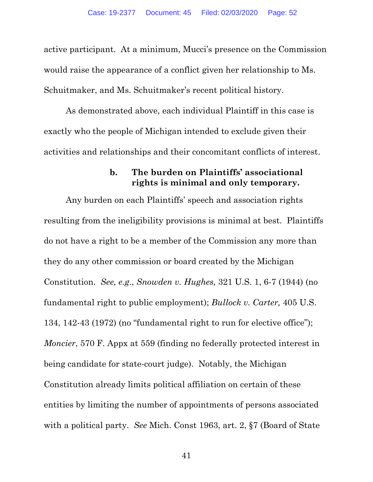active participant. At a minimum, Mucci's presence on the Commission would raise the appearance of a conflict given her relationship to Ms. Schuitmaker, and Ms. Schuitmaker's recent political history.

As demonstrated above, each individual Plaintiff in this case is exactly who the people of Michigan intended to exclude given their activities and relationships and their concomitant conflicts of interest.

#### **b. The burden on Plaintiffs' associational rights is minimal and only temporary.**

Any burden on each Plaintiffs' speech and association rights resulting from the ineligibility provisions is minimal at best. Plaintiffs do not have a right to be a member of the Commission any more than they do any other commission or board created by the Michigan Constitution. *See, e.g*., *Snowden v. Hughes,* 321 U.S. 1, 6-7 (1944) (no fundamental right to public employment); *Bullock v. Carter,* 405 U.S. 134, 142-43 (1972) (no "fundamental right to run for elective office"); *Moncier*, 570 F. Appx at 559 (finding no federally protected interest in being candidate for state-court judge). Notably, the Michigan Constitution already limits political affiliation on certain of these entities by limiting the number of appointments of persons associated with a political party. *See* Mich. Const 1963, art. 2, §7 (Board of State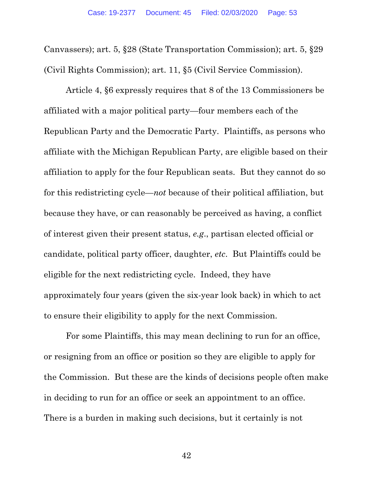Canvassers); art. 5, §28 (State Transportation Commission); art. 5, §29 (Civil Rights Commission); art. 11, §5 (Civil Service Commission).

Article 4, §6 expressly requires that 8 of the 13 Commissioners be affiliated with a major political party—four members each of the Republican Party and the Democratic Party. Plaintiffs, as persons who affiliate with the Michigan Republican Party, are eligible based on their affiliation to apply for the four Republican seats. But they cannot do so for this redistricting cycle—*not* because of their political affiliation, but because they have, or can reasonably be perceived as having, a conflict of interest given their present status, *e.g*., partisan elected official or candidate, political party officer, daughter, *etc*. But Plaintiffs could be eligible for the next redistricting cycle. Indeed, they have approximately four years (given the six-year look back) in which to act to ensure their eligibility to apply for the next Commission.

For some Plaintiffs, this may mean declining to run for an office, or resigning from an office or position so they are eligible to apply for the Commission. But these are the kinds of decisions people often make in deciding to run for an office or seek an appointment to an office. There is a burden in making such decisions, but it certainly is not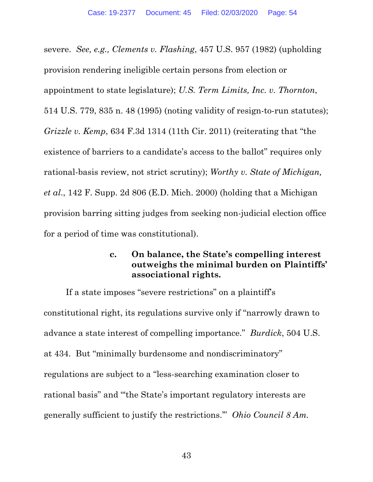severe. *See, e.g., Clements v. Flashing*, 457 U.S. 957 (1982) (upholding provision rendering ineligible certain persons from election or appointment to state legislature); *U.S. Term Limits, Inc. v. Thornton*, 514 U.S. 779, 835 n. 48 (1995) (noting validity of resign-to-run statutes); *Grizzle v. Kemp*, 634 F.3d 1314 (11th Cir. 2011) (reiterating that "the existence of barriers to a candidate's access to the ballot" requires only rational-basis review, not strict scrutiny); *Worthy v. State of Michigan, et al*., 142 F. Supp. 2d 806 (E.D. Mich. 2000) (holding that a Michigan provision barring sitting judges from seeking non-judicial election office for a period of time was constitutional).

### **c. On balance, the State's compelling interest outweighs the minimal burden on Plaintiffs' associational rights.**

If a state imposes "severe restrictions" on a plaintiff's constitutional right, its regulations survive only if "narrowly drawn to advance a state interest of compelling importance." *Burdick*, 504 U.S. at 434. But "minimally burdensome and nondiscriminatory" regulations are subject to a "less-searching examination closer to rational basis" and "'the State's important regulatory interests are generally sufficient to justify the restrictions.'" *Ohio Council 8 Am.*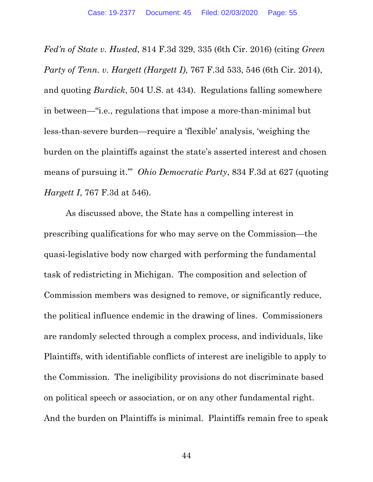*Fed'n of State v. Husted*, 814 F.3d 329, 335 (6th Cir. 2016) (citing *Green Party of Tenn. v. Hargett (Hargett I)*, 767 F.3d 533, 546 (6th Cir. 2014), and quoting *Burdick*, 504 U.S. at 434). Regulations falling somewhere in between—"i.e., regulations that impose a more-than-minimal but less-than-severe burden—require a 'flexible' analysis, 'weighing the burden on the plaintiffs against the state's asserted interest and chosen means of pursuing it.'" *Ohio Democratic Party*, 834 F.3d at 627 (quoting *Hargett I*, 767 F.3d at 546).

As discussed above, the State has a compelling interest in prescribing qualifications for who may serve on the Commission—the quasi-legislative body now charged with performing the fundamental task of redistricting in Michigan. The composition and selection of Commission members was designed to remove, or significantly reduce, the political influence endemic in the drawing of lines. Commissioners are randomly selected through a complex process, and individuals, like Plaintiffs, with identifiable conflicts of interest are ineligible to apply to the Commission. The ineligibility provisions do not discriminate based on political speech or association, or on any other fundamental right. And the burden on Plaintiffs is minimal. Plaintiffs remain free to speak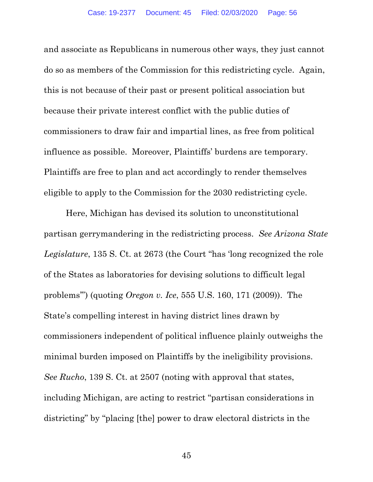and associate as Republicans in numerous other ways, they just cannot do so as members of the Commission for this redistricting cycle. Again, this is not because of their past or present political association but because their private interest conflict with the public duties of commissioners to draw fair and impartial lines, as free from political influence as possible. Moreover, Plaintiffs' burdens are temporary. Plaintiffs are free to plan and act accordingly to render themselves eligible to apply to the Commission for the 2030 redistricting cycle.

Here, Michigan has devised its solution to unconstitutional partisan gerrymandering in the redistricting process. *See Arizona State Legislature*, 135 S. Ct. at 2673 (the Court "has 'long recognized the role of the States as laboratories for devising solutions to difficult legal problems'") (quoting *Oregon v. Ice*, 555 U.S. 160, 171 (2009)). The State's compelling interest in having district lines drawn by commissioners independent of political influence plainly outweighs the minimal burden imposed on Plaintiffs by the ineligibility provisions. *See Rucho*, 139 S. Ct. at 2507 (noting with approval that states, including Michigan, are acting to restrict "partisan considerations in districting" by "placing [the] power to draw electoral districts in the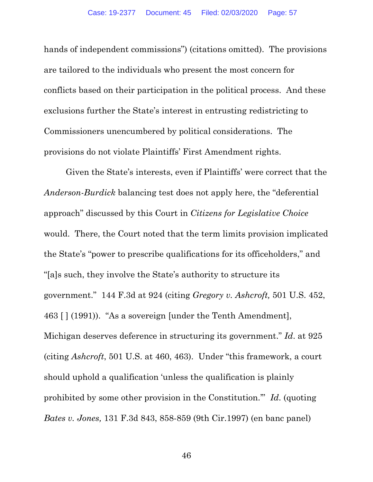hands of independent commissions") (citations omitted). The provisions are tailored to the individuals who present the most concern for conflicts based on their participation in the political process. And these exclusions further the State's interest in entrusting redistricting to Commissioners unencumbered by political considerations. The provisions do not violate Plaintiffs' First Amendment rights.

Given the State's interests, even if Plaintiffs' were correct that the *Anderson-Burdick* balancing test does not apply here, the "deferential approach" discussed by this Court in *Citizens for Legislative Choice*  would. There, the Court noted that the term limits provision implicated the State's "power to prescribe qualifications for its officeholders," and "[a]s such, they involve the State's authority to structure its government." 144 F.3d at 924 (citing *Gregory v. Ashcroft,* 501 U.S. 452, 463 [ ] (1991)). "As a sovereign [under the Tenth Amendment], Michigan deserves deference in structuring its government." *Id*. at 925 (citing *Ashcroft*, 501 U.S. at 460, 463). Under "this framework, a court should uphold a qualification 'unless the qualification is plainly prohibited by some other provision in the Constitution.'" *Id*. (quoting *Bates v. Jones,* 131 F.3d 843, 858-859 (9th Cir.1997) (en banc panel)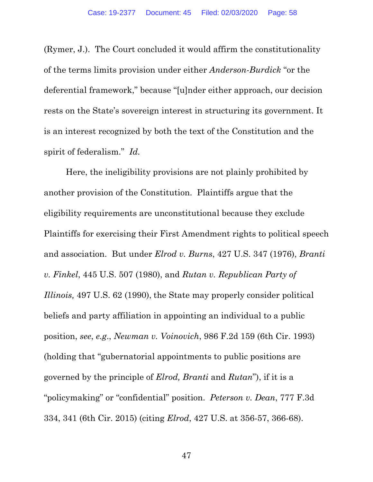(Rymer, J.). The Court concluded it would affirm the constitutionality of the terms limits provision under either *Anderson-Burdick* "or the deferential framework," because "[u]nder either approach, our decision rests on the State's sovereign interest in structuring its government. It is an interest recognized by both the text of the Constitution and the spirit of federalism." *Id.*

Here, the ineligibility provisions are not plainly prohibited by another provision of the Constitution. Plaintiffs argue that the eligibility requirements are unconstitutional because they exclude Plaintiffs for exercising their First Amendment rights to political speech and association. But under *Elrod v. Burns*, 427 U.S. 347 (1976), *Branti v. Finkel*, 445 U.S. 507 (1980), and *Rutan v. Republican Party of Illinois,* 497 U.S. 62 (1990), the State may properly consider political beliefs and party affiliation in appointing an individual to a public position, *see*, *e.g*., *Newman v. Voinovich*, 986 F.2d 159 (6th Cir. 1993) (holding that "gubernatorial appointments to public positions are governed by the principle of *Elrod, Branti* and *Rutan*"), if it is a "policymaking" or "confidential" position. *Peterson v. Dean*, 777 F.3d 334, 341 (6th Cir. 2015) (citing *Elrod*, 427 U.S. at 356-57, 366-68).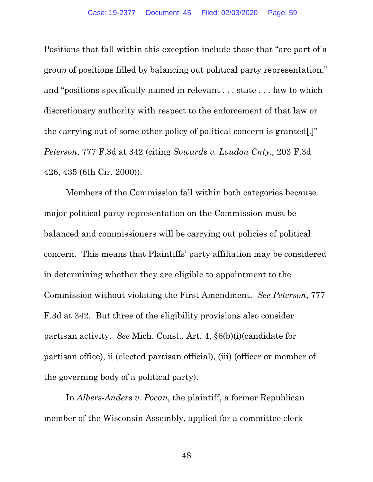Positions that fall within this exception include those that "are part of a group of positions filled by balancing out political party representation," and "positions specifically named in relevant . . . state . . . law to which discretionary authority with respect to the enforcement of that law or the carrying out of some other policy of political concern is granted[.]" *Peterson*, 777 F.3d at 342 (citing *Sowards v. Loudon Cnty.,* 203 F.3d 426, 435 (6th Cir. 2000)).

Members of the Commission fall within both categories because major political party representation on the Commission must be balanced and commissioners will be carrying out policies of political concern. This means that Plaintiffs' party affiliation may be considered in determining whether they are eligible to appointment to the Commission without violating the First Amendment. *See Peterson*, 777 F.3d at 342. But three of the eligibility provisions also consider partisan activity. *See* Mich. Const., Art. 4, §6(b)(i)(candidate for partisan office), ii (elected partisan official), (iii) (officer or member of the governing body of a political party).

In *Albers-Anders v. Pocan*, the plaintiff, a former Republican member of the Wisconsin Assembly, applied for a committee clerk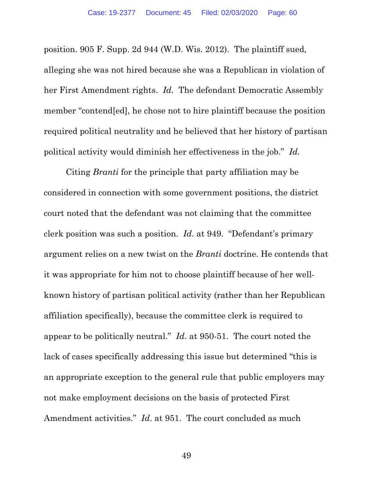position. 905 F. Supp. 2d 944 (W.D. Wis. 2012). The plaintiff sued, alleging she was not hired because she was a Republican in violation of her First Amendment rights. *Id.* The defendant Democratic Assembly member "contend[ed], he chose not to hire plaintiff because the position required political neutrality and he believed that her history of partisan political activity would diminish her effectiveness in the job." *Id.* 

Citing *Branti* for the principle that party affiliation may be considered in connection with some government positions, the district court noted that the defendant was not claiming that the committee clerk position was such a position. *Id*. at 949. "Defendant's primary argument relies on a new twist on the *Branti* doctrine. He contends that it was appropriate for him not to choose plaintiff because of her wellknown history of partisan political activity (rather than her Republican affiliation specifically), because the committee clerk is required to appear to be politically neutral." *Id*. at 950-51. The court noted the lack of cases specifically addressing this issue but determined "this is an appropriate exception to the general rule that public employers may not make employment decisions on the basis of protected First Amendment activities." *Id*. at 951. The court concluded as much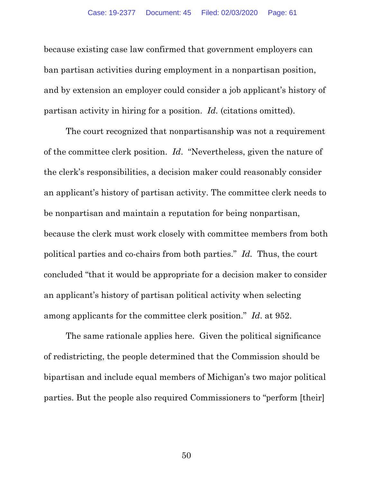because existing case law confirmed that government employers can ban partisan activities during employment in a nonpartisan position, and by extension an employer could consider a job applicant's history of partisan activity in hiring for a position. *Id.* (citations omitted).

The court recognized that nonpartisanship was not a requirement of the committee clerk position. *Id*. "Nevertheless, given the nature of the clerk's responsibilities, a decision maker could reasonably consider an applicant's history of partisan activity. The committee clerk needs to be nonpartisan and maintain a reputation for being nonpartisan, because the clerk must work closely with committee members from both political parties and co-chairs from both parties." *Id.* Thus, the court concluded "that it would be appropriate for a decision maker to consider an applicant's history of partisan political activity when selecting among applicants for the committee clerk position." *Id*. at 952.

 The same rationale applies here. Given the political significance of redistricting, the people determined that the Commission should be bipartisan and include equal members of Michigan's two major political parties. But the people also required Commissioners to "perform [their]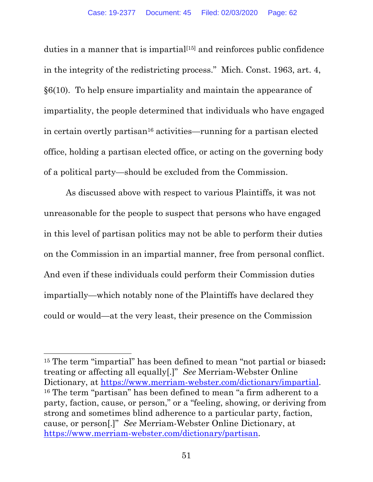duties in a manner that is impartial<sup>[15]</sup> and reinforces public confidence in the integrity of the redistricting process." Mich. Const. 1963, art. 4, §6(10). To help ensure impartiality and maintain the appearance of impartiality, the people determined that individuals who have engaged in certain overtly partisan16 activities—running for a partisan elected office, holding a partisan elected office, or acting on the governing body of a political party—should be excluded from the Commission.

 As discussed above with respect to various Plaintiffs, it was not unreasonable for the people to suspect that persons who have engaged in this level of partisan politics may not be able to perform their duties on the Commission in an impartial manner, free from personal conflict. And even if these individuals could perform their Commission duties impartially—which notably none of the Plaintiffs have declared they could or would—at the very least, their presence on the Commission

<sup>15</sup> The term "impartial" has been defined to mean "not partial or biased**:**  treating or affecting all equally[.]" *See* Merriam-Webster Online Dictionary, at https://www.merriam-webster.com/dictionary/impartial.<br><sup>16</sup> The term "partisan" has been defined to mean "a firm adherent to a party, faction, cause, or person," or a "feeling, showing, or deriving from strong and sometimes blind adherence to a particular party, faction, cause, or person[.]" *See* Merriam-Webster Online Dictionary, at https://www.merriam-webster.com/dictionary/partisan.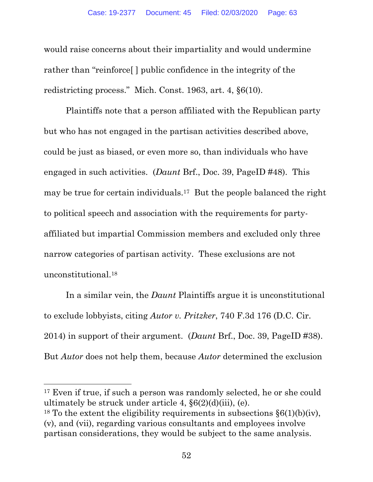would raise concerns about their impartiality and would undermine rather than "reinforce[ ] public confidence in the integrity of the redistricting process." Mich. Const. 1963, art. 4, §6(10).

Plaintiffs note that a person affiliated with the Republican party but who has not engaged in the partisan activities described above, could be just as biased, or even more so, than individuals who have engaged in such activities. (*Daunt* Brf., Doc. 39, PageID #48). This may be true for certain individuals.17 But the people balanced the right to political speech and association with the requirements for partyaffiliated but impartial Commission members and excluded only three narrow categories of partisan activity. These exclusions are not unconstitutional.18

In a similar vein, the *Daunt* Plaintiffs argue it is unconstitutional to exclude lobbyists, citing *Autor v. Pritzker*, 740 F.3d 176 (D.C. Cir. 2014) in support of their argument. (*Daunt* Brf., Doc. 39, PageID #38). But *Autor* does not help them, because *Autor* determined the exclusion

<sup>17</sup> Even if true, if such a person was randomly selected, he or she could ultimately be struck under article 4,  $\S6(2)(d)(iii)$ , (e).

<sup>&</sup>lt;sup>18</sup> To the extent the eligibility requirements in subsections  $\S6(1)(b)(iv)$ , (v), and (vii), regarding various consultants and employees involve partisan considerations, they would be subject to the same analysis.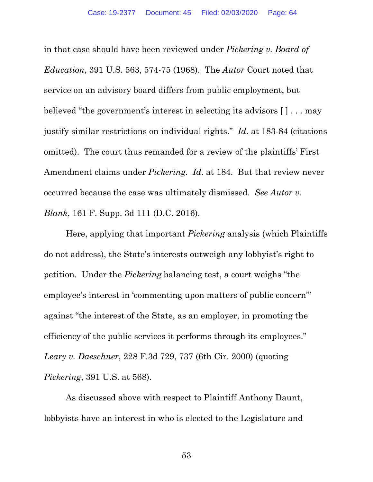in that case should have been reviewed under *Pickering v. Board of Education*, 391 U.S. 563, 574-75 (1968). The *Autor* Court noted that service on an advisory board differs from public employment, but believed "the government's interest in selecting its advisors [ ] . . . may justify similar restrictions on individual rights." *Id*. at 183-84 (citations omitted). The court thus remanded for a review of the plaintiffs' First Amendment claims under *Pickering*. *Id*. at 184. But that review never occurred because the case was ultimately dismissed. *See Autor v. Blank*, 161 F. Supp. 3d 111 (D.C. 2016).

Here, applying that important *Pickering* analysis (which Plaintiffs do not address), the State's interests outweigh any lobbyist's right to petition. Under the *Pickering* balancing test, a court weighs "the employee's interest in 'commenting upon matters of public concern'" against "the interest of the State, as an employer, in promoting the efficiency of the public services it performs through its employees." *Leary v. Daeschner*, 228 F.3d 729, 737 (6th Cir. 2000) (quoting *Pickering*, 391 U.S. at 568).

As discussed above with respect to Plaintiff Anthony Daunt, lobbyists have an interest in who is elected to the Legislature and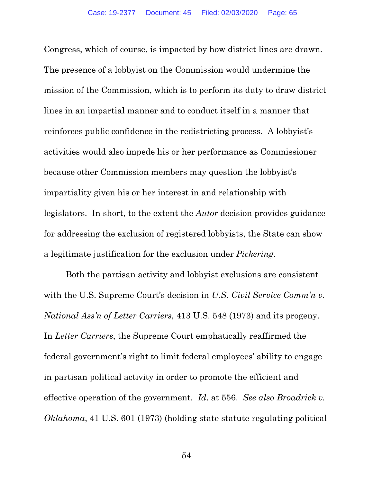Congress, which of course, is impacted by how district lines are drawn. The presence of a lobbyist on the Commission would undermine the mission of the Commission, which is to perform its duty to draw district lines in an impartial manner and to conduct itself in a manner that reinforces public confidence in the redistricting process. A lobbyist's activities would also impede his or her performance as Commissioner because other Commission members may question the lobbyist's impartiality given his or her interest in and relationship with legislators. In short, to the extent the *Autor* decision provides guidance for addressing the exclusion of registered lobbyists, the State can show a legitimate justification for the exclusion under *Pickering*.

Both the partisan activity and lobbyist exclusions are consistent with the U.S. Supreme Court's decision in *U.S. Civil Service Comm'n v. National Ass'n of Letter Carriers,* 413 U.S. 548 (1973) and its progeny. In *Letter Carriers*, the Supreme Court emphatically reaffirmed the federal government's right to limit federal employees' ability to engage in partisan political activity in order to promote the efficient and effective operation of the government. *Id*. at 556. *See also Broadrick v. Oklahoma*, 41 U.S. 601 (1973) (holding state statute regulating political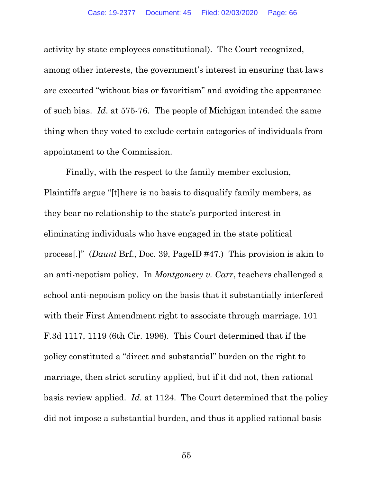activity by state employees constitutional). The Court recognized, among other interests, the government's interest in ensuring that laws are executed "without bias or favoritism" and avoiding the appearance of such bias. *Id*. at 575-76. The people of Michigan intended the same thing when they voted to exclude certain categories of individuals from appointment to the Commission.

Finally, with the respect to the family member exclusion, Plaintiffs argue "[t]here is no basis to disqualify family members, as they bear no relationship to the state's purported interest in eliminating individuals who have engaged in the state political process[.]" (*Daunt* Brf., Doc. 39, PageID #47.) This provision is akin to an anti-nepotism policy. In *Montgomery v. Carr*, teachers challenged a school anti-nepotism policy on the basis that it substantially interfered with their First Amendment right to associate through marriage. 101 F.3d 1117, 1119 (6th Cir. 1996). This Court determined that if the policy constituted a "direct and substantial" burden on the right to marriage, then strict scrutiny applied, but if it did not, then rational basis review applied. *Id*. at 1124. The Court determined that the policy did not impose a substantial burden, and thus it applied rational basis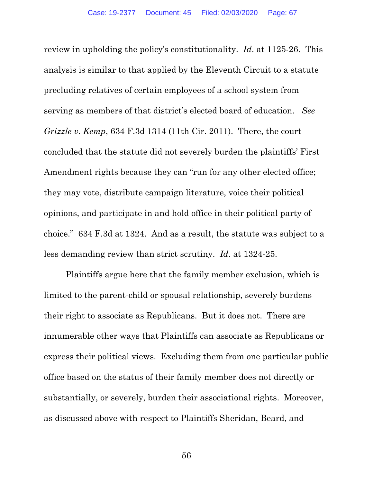review in upholding the policy's constitutionality. *Id*. at 1125-26. This analysis is similar to that applied by the Eleventh Circuit to a statute precluding relatives of certain employees of a school system from serving as members of that district's elected board of education. *See Grizzle v. Kemp*, 634 F.3d 1314 (11th Cir. 2011). There, the court concluded that the statute did not severely burden the plaintiffs' First Amendment rights because they can "run for any other elected office; they may vote, distribute campaign literature, voice their political opinions, and participate in and hold office in their political party of choice." 634 F.3d at 1324. And as a result, the statute was subject to a less demanding review than strict scrutiny. *Id*. at 1324-25.

Plaintiffs argue here that the family member exclusion, which is limited to the parent-child or spousal relationship, severely burdens their right to associate as Republicans. But it does not. There are innumerable other ways that Plaintiffs can associate as Republicans or express their political views. Excluding them from one particular public office based on the status of their family member does not directly or substantially, or severely, burden their associational rights. Moreover, as discussed above with respect to Plaintiffs Sheridan, Beard, and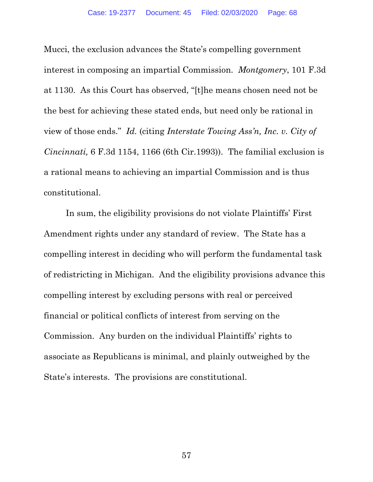Mucci, the exclusion advances the State's compelling government interest in composing an impartial Commission. *Montgomery*, 101 F.3d at 1130. As this Court has observed, "[t]he means chosen need not be the best for achieving these stated ends, but need only be rational in view of those ends." *Id.* (citing *Interstate Towing Ass'n, Inc. v. City of Cincinnati,* 6 F.3d 1154, 1166 (6th Cir.1993)). The familial exclusion is a rational means to achieving an impartial Commission and is thus constitutional.

In sum, the eligibility provisions do not violate Plaintiffs' First Amendment rights under any standard of review. The State has a compelling interest in deciding who will perform the fundamental task of redistricting in Michigan. And the eligibility provisions advance this compelling interest by excluding persons with real or perceived financial or political conflicts of interest from serving on the Commission. Any burden on the individual Plaintiffs' rights to associate as Republicans is minimal, and plainly outweighed by the State's interests. The provisions are constitutional.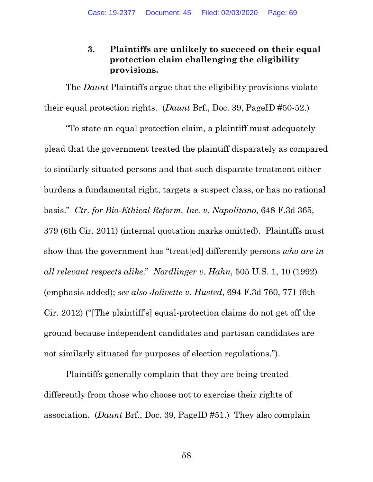# **3. Plaintiffs are unlikely to succeed on their equal protection claim challenging the eligibility provisions.**

The *Daunt* Plaintiffs argue that the eligibility provisions violate their equal protection rights. (*Daunt* Brf., Doc. 39, PageID #50-52.)

"To state an equal protection claim, a plaintiff must adequately plead that the government treated the plaintiff disparately as compared to similarly situated persons and that such disparate treatment either burdens a fundamental right, targets a suspect class, or has no rational basis." *Ctr. for Bio-Ethical Reform, Inc. v. Napolitano*, 648 F.3d 365, 379 (6th Cir. 2011) (internal quotation marks omitted). Plaintiffs must show that the government has "treat[ed] differently persons *who are in all relevant respects alike*." *Nordlinger v. Hahn*, 505 U.S. 1, 10 (1992) (emphasis added); *see also Jolivette v. Husted*, 694 F.3d 760, 771 (6th Cir. 2012) ("[The plaintiff's] equal-protection claims do not get off the ground because independent candidates and partisan candidates are not similarly situated for purposes of election regulations.").

Plaintiffs generally complain that they are being treated differently from those who choose not to exercise their rights of association. (*Daunt* Brf., Doc. 39, PageID #51.) They also complain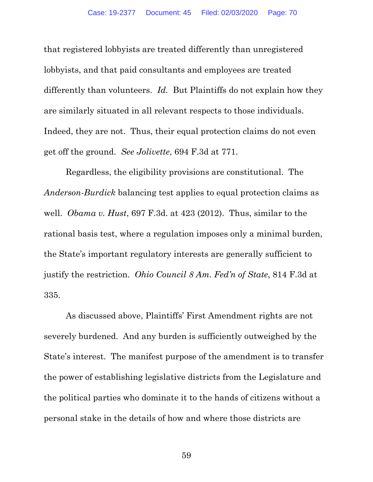that registered lobbyists are treated differently than unregistered lobbyists, and that paid consultants and employees are treated differently than volunteers. *Id.* But Plaintiffs do not explain how they are similarly situated in all relevant respects to those individuals. Indeed, they are not. Thus, their equal protection claims do not even get off the ground. *See Jolivette*, 694 F.3d at 771.

Regardless, the eligibility provisions are constitutional. The *Anderson-Burdick* balancing test applies to equal protection claims as well. *Obama v. Hust*, 697 F.3d. at 423 (2012). Thus, similar to the rational basis test, where a regulation imposes only a minimal burden, the State's important regulatory interests are generally sufficient to justify the restriction. *Ohio Council 8 Am. Fed'n of State*, 814 F.3d at 335.

As discussed above, Plaintiffs' First Amendment rights are not severely burdened. And any burden is sufficiently outweighed by the State's interest. The manifest purpose of the amendment is to transfer the power of establishing legislative districts from the Legislature and the political parties who dominate it to the hands of citizens without a personal stake in the details of how and where those districts are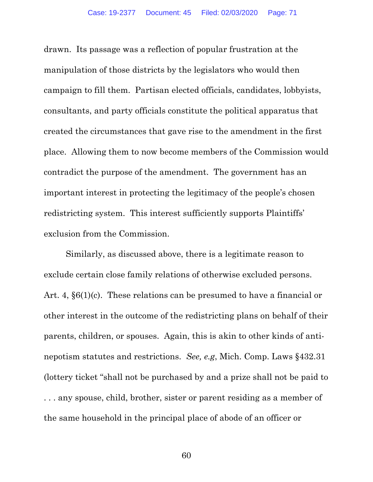drawn. Its passage was a reflection of popular frustration at the manipulation of those districts by the legislators who would then campaign to fill them. Partisan elected officials, candidates, lobbyists, consultants, and party officials constitute the political apparatus that created the circumstances that gave rise to the amendment in the first place. Allowing them to now become members of the Commission would contradict the purpose of the amendment. The government has an important interest in protecting the legitimacy of the people's chosen redistricting system. This interest sufficiently supports Plaintiffs' exclusion from the Commission.

Similarly, as discussed above, there is a legitimate reason to exclude certain close family relations of otherwise excluded persons. Art. 4, §6(1)(c). These relations can be presumed to have a financial or other interest in the outcome of the redistricting plans on behalf of their parents, children, or spouses. Again, this is akin to other kinds of antinepotism statutes and restrictions. *See, e.g*, Mich. Comp. Laws §432.31 (lottery ticket "shall not be purchased by and a prize shall not be paid to . . . any spouse, child, brother, sister or parent residing as a member of the same household in the principal place of abode of an officer or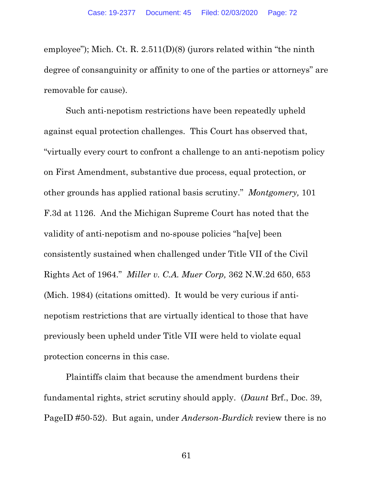employee"); Mich. Ct. R. 2.511(D)(8) (jurors related within "the ninth degree of consanguinity or affinity to one of the parties or attorneys" are removable for cause).

Such anti-nepotism restrictions have been repeatedly upheld against equal protection challenges. This Court has observed that, "virtually every court to confront a challenge to an anti-nepotism policy on First Amendment, substantive due process, equal protection, or other grounds has applied rational basis scrutiny." *Montgomery,* 101 F.3d at 1126. And the Michigan Supreme Court has noted that the validity of anti-nepotism and no-spouse policies "ha[ve] been consistently sustained when challenged under Title VII of the Civil Rights Act of 1964." *Miller v. C.A. Muer Corp,* 362 N.W.2d 650, 653 (Mich. 1984) (citations omitted). It would be very curious if antinepotism restrictions that are virtually identical to those that have previously been upheld under Title VII were held to violate equal protection concerns in this case.

Plaintiffs claim that because the amendment burdens their fundamental rights, strict scrutiny should apply. (*Daunt* Brf., Doc. 39, PageID #50-52). But again, under *Anderson-Burdick* review there is no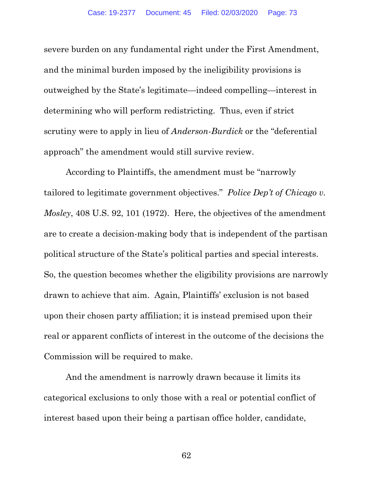severe burden on any fundamental right under the First Amendment, and the minimal burden imposed by the ineligibility provisions is outweighed by the State's legitimate—indeed compelling—interest in determining who will perform redistricting. Thus, even if strict scrutiny were to apply in lieu of *Anderson-Burdick* or the "deferential approach" the amendment would still survive review.

According to Plaintiffs, the amendment must be "narrowly tailored to legitimate government objectives." *Police Dep't of Chicago v. Mosley*, 408 U.S. 92, 101 (1972). Here, the objectives of the amendment are to create a decision-making body that is independent of the partisan political structure of the State's political parties and special interests. So, the question becomes whether the eligibility provisions are narrowly drawn to achieve that aim. Again, Plaintiffs' exclusion is not based upon their chosen party affiliation; it is instead premised upon their real or apparent conflicts of interest in the outcome of the decisions the Commission will be required to make.

And the amendment is narrowly drawn because it limits its categorical exclusions to only those with a real or potential conflict of interest based upon their being a partisan office holder, candidate,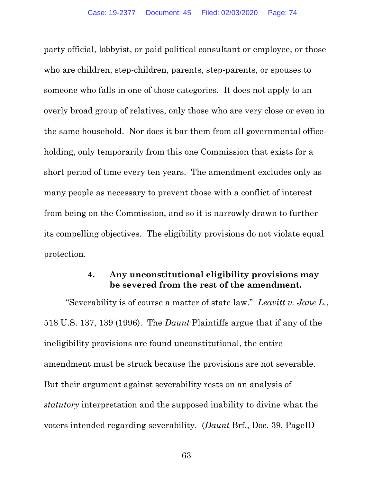party official, lobbyist, or paid political consultant or employee, or those who are children, step-children, parents, step-parents, or spouses to someone who falls in one of those categories. It does not apply to an overly broad group of relatives, only those who are very close or even in the same household. Nor does it bar them from all governmental officeholding, only temporarily from this one Commission that exists for a short period of time every ten years. The amendment excludes only as many people as necessary to prevent those with a conflict of interest from being on the Commission, and so it is narrowly drawn to further its compelling objectives. The eligibility provisions do not violate equal protection.

### **4. Any unconstitutional eligibility provisions may be severed from the rest of the amendment.**

"Severability is of course a matter of state law." *Leavitt v. Jane L.*, 518 U.S. 137, 139 (1996). The *Daunt* Plaintiffs argue that if any of the ineligibility provisions are found unconstitutional, the entire amendment must be struck because the provisions are not severable. But their argument against severability rests on an analysis of *statutory* interpretation and the supposed inability to divine what the voters intended regarding severability. (*Daunt* Brf., Doc. 39, PageID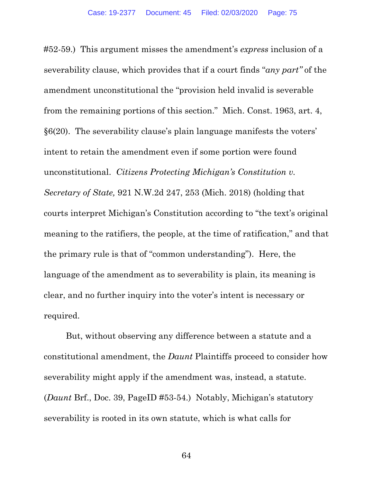#52-59.) This argument misses the amendment's *express* inclusion of a severability clause, which provides that if a court finds "*any part"* of the amendment unconstitutional the "provision held invalid is severable from the remaining portions of this section." Mich. Const. 1963, art. 4, §6(20). The severability clause's plain language manifests the voters' intent to retain the amendment even if some portion were found unconstitutional. *Citizens Protecting Michigan's Constitution v. Secretary of State,* 921 N.W.2d 247, 253 (Mich. 2018) (holding that courts interpret Michigan's Constitution according to "the text's original meaning to the ratifiers, the people, at the time of ratification," and that the primary rule is that of "common understanding"). Here, the language of the amendment as to severability is plain, its meaning is clear, and no further inquiry into the voter's intent is necessary or required.

But, without observing any difference between a statute and a constitutional amendment, the *Daunt* Plaintiffs proceed to consider how severability might apply if the amendment was, instead, a statute. (*Daunt* Brf., Doc. 39, PageID #53-54.) Notably, Michigan's statutory severability is rooted in its own statute, which is what calls for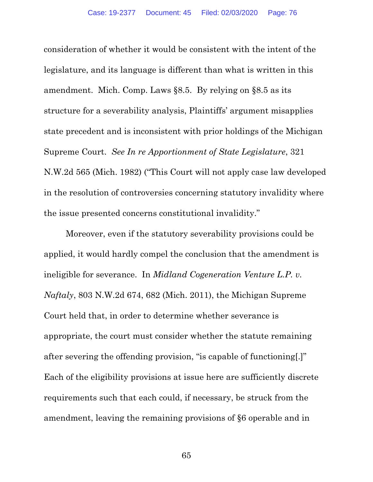consideration of whether it would be consistent with the intent of the legislature, and its language is different than what is written in this amendment. Mich. Comp. Laws §8.5. By relying on §8.5 as its structure for a severability analysis, Plaintiffs' argument misapplies state precedent and is inconsistent with prior holdings of the Michigan Supreme Court. *See In re Apportionment of State Legislature*, 321 N.W.2d 565 (Mich. 1982) ("This Court will not apply case law developed in the resolution of controversies concerning statutory invalidity where the issue presented concerns constitutional invalidity."

 Moreover, even if the statutory severability provisions could be applied, it would hardly compel the conclusion that the amendment is ineligible for severance. In *Midland Cogeneration Venture L.P. v. Naftaly*, 803 N.W.2d 674, 682 (Mich. 2011), the Michigan Supreme Court held that, in order to determine whether severance is appropriate, the court must consider whether the statute remaining after severing the offending provision, "is capable of functioning[.]" Each of the eligibility provisions at issue here are sufficiently discrete requirements such that each could, if necessary, be struck from the amendment, leaving the remaining provisions of §6 operable and in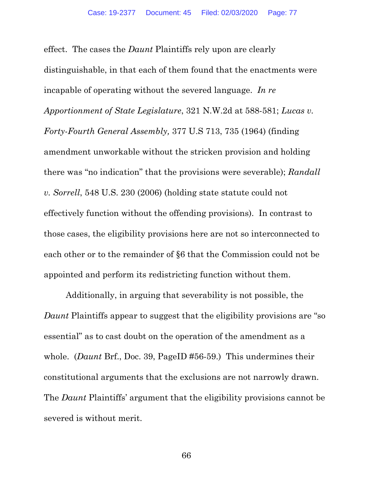effect. The cases the *Daunt* Plaintiffs rely upon are clearly distinguishable, in that each of them found that the enactments were incapable of operating without the severed language. *In re Apportionment of State Legislature*, 321 N.W.2d at 588-581; *Lucas v. Forty-Fourth General Assembly,* 377 U.S 713, 735 (1964) (finding amendment unworkable without the stricken provision and holding there was "no indication" that the provisions were severable); *Randall v. Sorrell*, 548 U.S. 230 (2006) (holding state statute could not effectively function without the offending provisions). In contrast to those cases, the eligibility provisions here are not so interconnected to each other or to the remainder of §6 that the Commission could not be appointed and perform its redistricting function without them.

Additionally, in arguing that severability is not possible, the *Daunt* Plaintiffs appear to suggest that the eligibility provisions are "so essential" as to cast doubt on the operation of the amendment as a whole. (*Daunt* Brf., Doc. 39, PageID #56-59.) This undermines their constitutional arguments that the exclusions are not narrowly drawn. The *Daunt* Plaintiffs' argument that the eligibility provisions cannot be severed is without merit.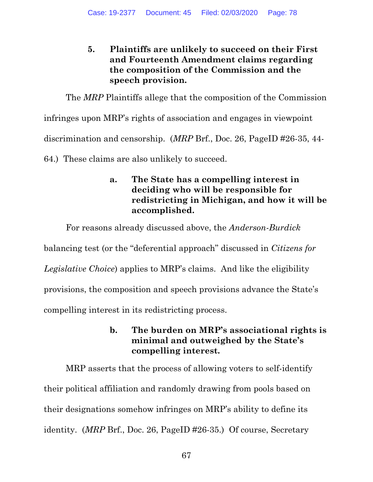# **5. Plaintiffs are unlikely to succeed on their First and Fourteenth Amendment claims regarding the composition of the Commission and the speech provision.**

The *MRP* Plaintiffs allege that the composition of the Commission

infringes upon MRP's rights of association and engages in viewpoint

discrimination and censorship. (*MRP* Brf., Doc. 26, PageID #26-35, 44-

64.) These claims are also unlikely to succeed.

# **a. The State has a compelling interest in deciding who will be responsible for redistricting in Michigan, and how it will be accomplished.**

For reasons already discussed above, the *Anderson-Burdick*

balancing test (or the "deferential approach" discussed in *Citizens for* 

*Legislative Choice*) applies to MRP's claims. And like the eligibility

provisions, the composition and speech provisions advance the State's

compelling interest in its redistricting process.

# **b. The burden on MRP's associational rights is minimal and outweighed by the State's compelling interest.**

MRP asserts that the process of allowing voters to self-identify their political affiliation and randomly drawing from pools based on their designations somehow infringes on MRP's ability to define its identity. (*MRP* Brf., Doc. 26, PageID #26-35.) Of course, Secretary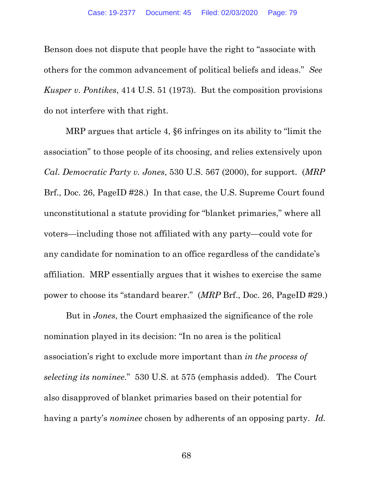Benson does not dispute that people have the right to "associate with others for the common advancement of political beliefs and ideas." *See Kusper v. Pontikes*, 414 U.S. 51 (1973). But the composition provisions do not interfere with that right.

MRP argues that article 4, §6 infringes on its ability to "limit the association" to those people of its choosing, and relies extensively upon *Cal. Democratic Party v. Jones*, 530 U.S. 567 (2000), for support. (*MRP* Brf., Doc. 26, PageID #28.) In that case, the U.S. Supreme Court found unconstitutional a statute providing for "blanket primaries," where all voters—including those not affiliated with any party—could vote for any candidate for nomination to an office regardless of the candidate's affiliation. MRP essentially argues that it wishes to exercise the same power to choose its "standard bearer." (*MRP* Brf., Doc. 26, PageID #29.)

But in *Jones*, the Court emphasized the significance of the role nomination played in its decision: "In no area is the political association's right to exclude more important than *in the process of selecting its nominee*." 530 U.S. at 575 (emphasis added). The Court also disapproved of blanket primaries based on their potential for having a party's *nominee* chosen by adherents of an opposing party. *Id.*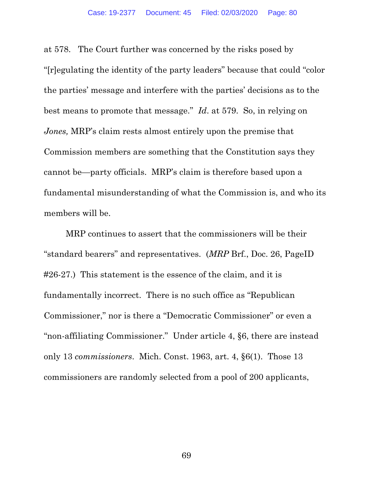at 578. The Court further was concerned by the risks posed by "[r]egulating the identity of the party leaders" because that could "color the parties' message and interfere with the parties' decisions as to the best means to promote that message." *Id*. at 579. So, in relying on *Jones,* MRP's claim rests almost entirely upon the premise that Commission members are something that the Constitution says they cannot be—party officials. MRP's claim is therefore based upon a fundamental misunderstanding of what the Commission is, and who its members will be.

MRP continues to assert that the commissioners will be their "standard bearers" and representatives. (*MRP* Brf., Doc. 26, PageID #26-27.) This statement is the essence of the claim, and it is fundamentally incorrect. There is no such office as "Republican Commissioner," nor is there a "Democratic Commissioner" or even a "non-affiliating Commissioner." Under article 4, §6, there are instead only 13 *commissioners*. Mich. Const. 1963, art. 4, §6(1). Those 13 commissioners are randomly selected from a pool of 200 applicants,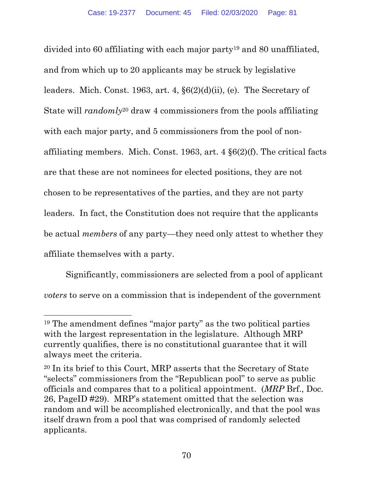divided into 60 affiliating with each major party19 and 80 unaffiliated, and from which up to 20 applicants may be struck by legislative leaders. Mich. Const. 1963, art. 4, §6(2)(d)(ii), (e). The Secretary of State will *randomly*20 draw 4 commissioners from the pools affiliating with each major party, and 5 commissioners from the pool of nonaffiliating members. Mich. Const. 1963, art. 4 §6(2)(f). The critical facts are that these are not nominees for elected positions, they are not chosen to be representatives of the parties, and they are not party leaders. In fact, the Constitution does not require that the applicants be actual *members* of any party—they need only attest to whether they affiliate themselves with a party.

 Significantly, commissioners are selected from a pool of applicant *voters* to serve on a commission that is independent of the government

<sup>19</sup> The amendment defines "major party" as the two political parties with the largest representation in the legislature. Although MRP currently qualifies, there is no constitutional guarantee that it will always meet the criteria.

<sup>20</sup> In its brief to this Court, MRP asserts that the Secretary of State "selects" commissioners from the "Republican pool" to serve as public officials and compares that to a political appointment. (*MRP* Brf., Doc. 26, PageID #29). MRP's statement omitted that the selection was random and will be accomplished electronically, and that the pool was itself drawn from a pool that was comprised of randomly selected applicants.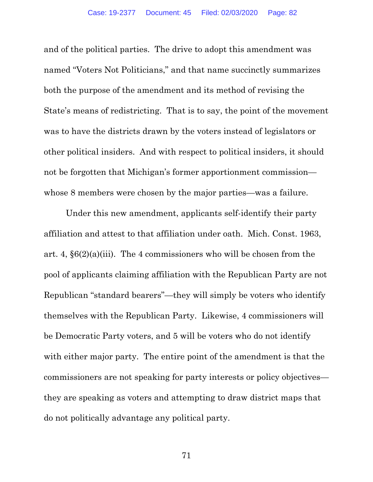and of the political parties. The drive to adopt this amendment was named "Voters Not Politicians," and that name succinctly summarizes both the purpose of the amendment and its method of revising the State's means of redistricting. That is to say, the point of the movement was to have the districts drawn by the voters instead of legislators or other political insiders. And with respect to political insiders, it should not be forgotten that Michigan's former apportionment commission whose 8 members were chosen by the major parties—was a failure.

Under this new amendment, applicants self-identify their party affiliation and attest to that affiliation under oath. Mich. Const. 1963, art. 4,  $\S6(2)(a)(iii)$ . The 4 commissioners who will be chosen from the pool of applicants claiming affiliation with the Republican Party are not Republican "standard bearers"—they will simply be voters who identify themselves with the Republican Party. Likewise, 4 commissioners will be Democratic Party voters, and 5 will be voters who do not identify with either major party. The entire point of the amendment is that the commissioners are not speaking for party interests or policy objectives they are speaking as voters and attempting to draw district maps that do not politically advantage any political party.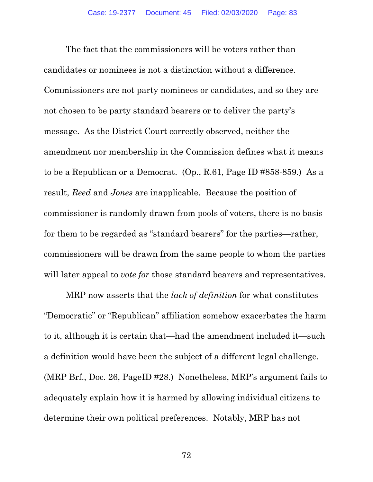The fact that the commissioners will be voters rather than candidates or nominees is not a distinction without a difference. Commissioners are not party nominees or candidates, and so they are not chosen to be party standard bearers or to deliver the party's message. As the District Court correctly observed, neither the amendment nor membership in the Commission defines what it means to be a Republican or a Democrat. (Op., R.61, Page ID #858-859.) As a result, *Reed* and *Jones* are inapplicable. Because the position of commissioner is randomly drawn from pools of voters, there is no basis for them to be regarded as "standard bearers" for the parties—rather, commissioners will be drawn from the same people to whom the parties will later appeal to *vote for* those standard bearers and representatives.

 MRP now asserts that the *lack of definition* for what constitutes "Democratic" or "Republican" affiliation somehow exacerbates the harm to it, although it is certain that—had the amendment included it—such a definition would have been the subject of a different legal challenge. (MRP Brf., Doc. 26, PageID #28.) Nonetheless, MRP's argument fails to adequately explain how it is harmed by allowing individual citizens to determine their own political preferences. Notably, MRP has not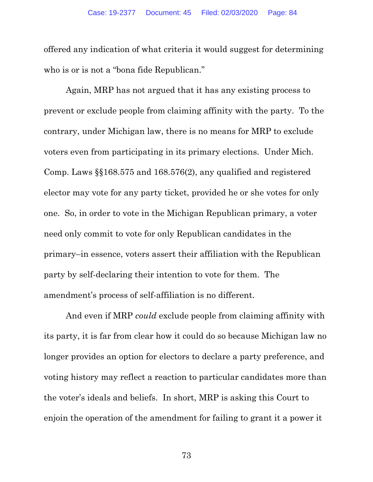offered any indication of what criteria it would suggest for determining who is or is not a "bona fide Republican."

Again, MRP has not argued that it has any existing process to prevent or exclude people from claiming affinity with the party. To the contrary, under Michigan law, there is no means for MRP to exclude voters even from participating in its primary elections. Under Mich. Comp. Laws §§168.575 and 168.576(2), any qualified and registered elector may vote for any party ticket, provided he or she votes for only one. So, in order to vote in the Michigan Republican primary, a voter need only commit to vote for only Republican candidates in the primary–in essence, voters assert their affiliation with the Republican party by self-declaring their intention to vote for them. The amendment's process of self-affiliation is no different.

And even if MRP *could* exclude people from claiming affinity with its party, it is far from clear how it could do so because Michigan law no longer provides an option for electors to declare a party preference, and voting history may reflect a reaction to particular candidates more than the voter's ideals and beliefs. In short, MRP is asking this Court to enjoin the operation of the amendment for failing to grant it a power it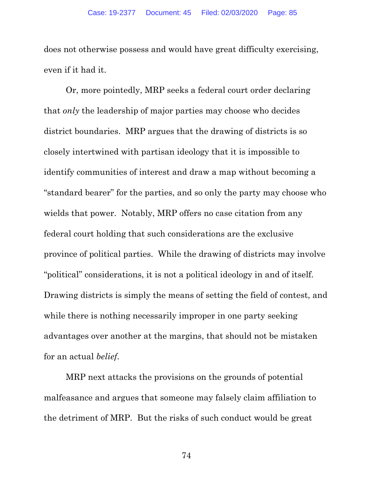does not otherwise possess and would have great difficulty exercising, even if it had it.

Or, more pointedly, MRP seeks a federal court order declaring that *only* the leadership of major parties may choose who decides district boundaries. MRP argues that the drawing of districts is so closely intertwined with partisan ideology that it is impossible to identify communities of interest and draw a map without becoming a "standard bearer" for the parties, and so only the party may choose who wields that power. Notably, MRP offers no case citation from any federal court holding that such considerations are the exclusive province of political parties. While the drawing of districts may involve "political" considerations, it is not a political ideology in and of itself. Drawing districts is simply the means of setting the field of contest, and while there is nothing necessarily improper in one party seeking advantages over another at the margins, that should not be mistaken for an actual *belief*.

MRP next attacks the provisions on the grounds of potential malfeasance and argues that someone may falsely claim affiliation to the detriment of MRP. But the risks of such conduct would be great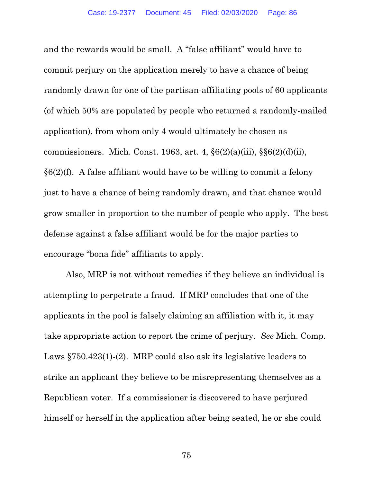and the rewards would be small. A "false affiliant" would have to commit perjury on the application merely to have a chance of being randomly drawn for one of the partisan-affiliating pools of 60 applicants (of which 50% are populated by people who returned a randomly-mailed application), from whom only 4 would ultimately be chosen as commissioners. Mich. Const. 1963, art. 4, §6(2)(a)(iii), §§6(2)(d)(ii), §6(2)(f). A false affiliant would have to be willing to commit a felony just to have a chance of being randomly drawn, and that chance would grow smaller in proportion to the number of people who apply. The best defense against a false affiliant would be for the major parties to encourage "bona fide" affiliants to apply.

Also, MRP is not without remedies if they believe an individual is attempting to perpetrate a fraud. If MRP concludes that one of the applicants in the pool is falsely claiming an affiliation with it, it may take appropriate action to report the crime of perjury. *See* Mich. Comp. Laws §750.423(1)-(2). MRP could also ask its legislative leaders to strike an applicant they believe to be misrepresenting themselves as a Republican voter. If a commissioner is discovered to have perjured himself or herself in the application after being seated, he or she could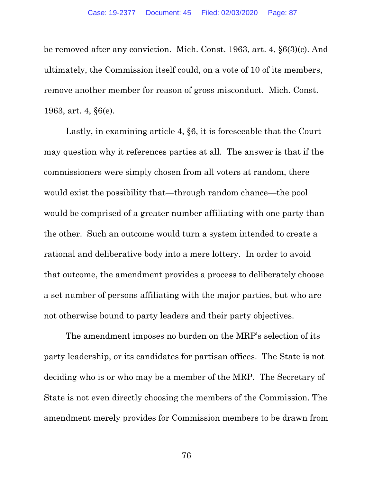be removed after any conviction. Mich. Const. 1963, art. 4, §6(3)(c). And ultimately, the Commission itself could, on a vote of 10 of its members, remove another member for reason of gross misconduct. Mich. Const. 1963, art. 4, §6(e).

Lastly, in examining article 4, §6, it is foreseeable that the Court may question why it references parties at all. The answer is that if the commissioners were simply chosen from all voters at random, there would exist the possibility that—through random chance—the pool would be comprised of a greater number affiliating with one party than the other. Such an outcome would turn a system intended to create a rational and deliberative body into a mere lottery. In order to avoid that outcome, the amendment provides a process to deliberately choose a set number of persons affiliating with the major parties, but who are not otherwise bound to party leaders and their party objectives.

The amendment imposes no burden on the MRP's selection of its party leadership, or its candidates for partisan offices. The State is not deciding who is or who may be a member of the MRP. The Secretary of State is not even directly choosing the members of the Commission. The amendment merely provides for Commission members to be drawn from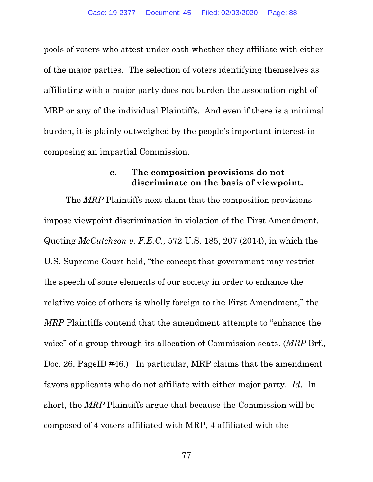pools of voters who attest under oath whether they affiliate with either of the major parties. The selection of voters identifying themselves as affiliating with a major party does not burden the association right of MRP or any of the individual Plaintiffs. And even if there is a minimal burden, it is plainly outweighed by the people's important interest in composing an impartial Commission.

### **c. The composition provisions do not discriminate on the basis of viewpoint.**

The *MRP* Plaintiffs next claim that the composition provisions impose viewpoint discrimination in violation of the First Amendment. Quoting *McCutcheon v. F.E.C.,* 572 U.S. 185, 207 (2014), in which the U.S. Supreme Court held, "the concept that government may restrict the speech of some elements of our society in order to enhance the relative voice of others is wholly foreign to the First Amendment," the *MRP* Plaintiffs contend that the amendment attempts to "enhance the voice" of a group through its allocation of Commission seats. (*MRP* Brf., Doc. 26, PageID #46.) In particular, MRP claims that the amendment favors applicants who do not affiliate with either major party. *Id*. In short, the *MRP* Plaintiffs argue that because the Commission will be composed of 4 voters affiliated with MRP, 4 affiliated with the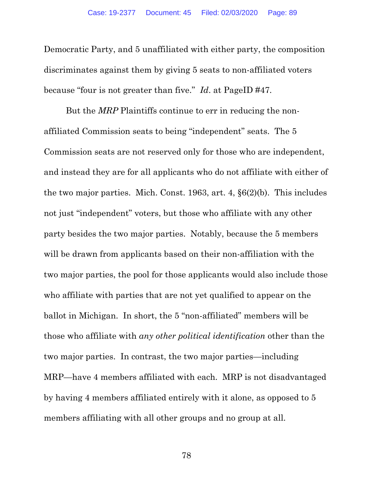Democratic Party, and 5 unaffiliated with either party, the composition discriminates against them by giving 5 seats to non-affiliated voters because "four is not greater than five." *Id*. at PageID #47*.*

But the *MRP* Plaintiffs continue to err in reducing the nonaffiliated Commission seats to being "independent" seats. The 5 Commission seats are not reserved only for those who are independent, and instead they are for all applicants who do not affiliate with either of the two major parties. Mich. Const. 1963, art. 4, §6(2)(b). This includes not just "independent" voters, but those who affiliate with any other party besides the two major parties. Notably, because the 5 members will be drawn from applicants based on their non-affiliation with the two major parties, the pool for those applicants would also include those who affiliate with parties that are not yet qualified to appear on the ballot in Michigan. In short, the 5 "non-affiliated" members will be those who affiliate with *any other political identification* other than the two major parties. In contrast, the two major parties—including MRP—have 4 members affiliated with each. MRP is not disadvantaged by having 4 members affiliated entirely with it alone, as opposed to 5 members affiliating with all other groups and no group at all.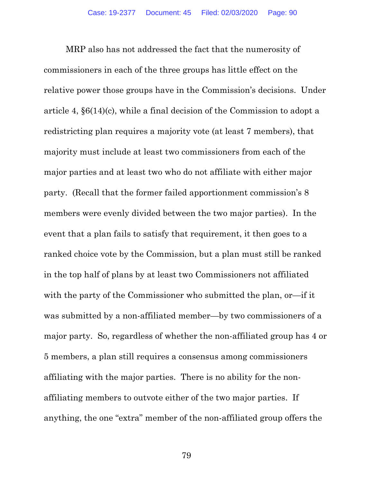MRP also has not addressed the fact that the numerosity of commissioners in each of the three groups has little effect on the relative power those groups have in the Commission's decisions. Under article 4, §6(14)(c), while a final decision of the Commission to adopt a redistricting plan requires a majority vote (at least 7 members), that majority must include at least two commissioners from each of the major parties and at least two who do not affiliate with either major party. (Recall that the former failed apportionment commission's 8 members were evenly divided between the two major parties). In the event that a plan fails to satisfy that requirement, it then goes to a ranked choice vote by the Commission, but a plan must still be ranked in the top half of plans by at least two Commissioners not affiliated with the party of the Commissioner who submitted the plan, or—if it was submitted by a non-affiliated member—by two commissioners of a major party. So, regardless of whether the non-affiliated group has 4 or 5 members, a plan still requires a consensus among commissioners affiliating with the major parties. There is no ability for the nonaffiliating members to outvote either of the two major parties. If anything, the one "extra" member of the non-affiliated group offers the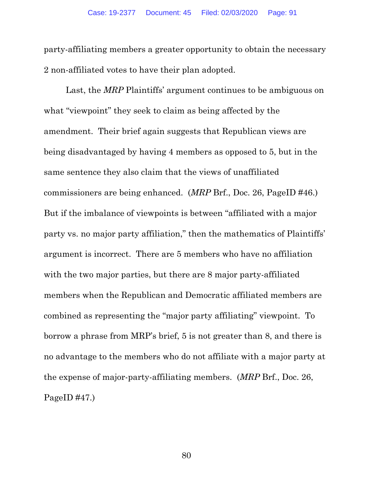party-affiliating members a greater opportunity to obtain the necessary 2 non-affiliated votes to have their plan adopted.

Last, the *MRP* Plaintiffs' argument continues to be ambiguous on what "viewpoint" they seek to claim as being affected by the amendment. Their brief again suggests that Republican views are being disadvantaged by having 4 members as opposed to 5, but in the same sentence they also claim that the views of unaffiliated commissioners are being enhanced. (*MRP* Brf., Doc. 26, PageID #46.) But if the imbalance of viewpoints is between "affiliated with a major party vs. no major party affiliation," then the mathematics of Plaintiffs' argument is incorrect. There are 5 members who have no affiliation with the two major parties, but there are 8 major party-affiliated members when the Republican and Democratic affiliated members are combined as representing the "major party affiliating" viewpoint. To borrow a phrase from MRP's brief, 5 is not greater than 8, and there is no advantage to the members who do not affiliate with a major party at the expense of major-party-affiliating members. (*MRP* Brf., Doc. 26, PageID  $\#47$ .)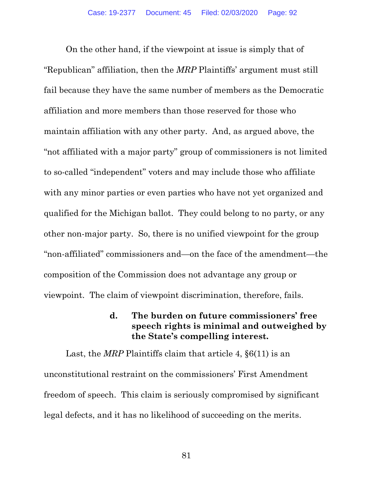On the other hand, if the viewpoint at issue is simply that of "Republican" affiliation, then the *MRP* Plaintiffs' argument must still fail because they have the same number of members as the Democratic affiliation and more members than those reserved for those who maintain affiliation with any other party. And, as argued above, the "not affiliated with a major party" group of commissioners is not limited to so-called "independent" voters and may include those who affiliate with any minor parties or even parties who have not yet organized and qualified for the Michigan ballot. They could belong to no party, or any other non-major party. So, there is no unified viewpoint for the group "non-affiliated" commissioners and—on the face of the amendment—the composition of the Commission does not advantage any group or viewpoint. The claim of viewpoint discrimination, therefore, fails.

### **d. The burden on future commissioners' free speech rights is minimal and outweighed by the State's compelling interest.**

Last, the *MRP* Plaintiffs claim that article 4,  $\S6(11)$  is an unconstitutional restraint on the commissioners' First Amendment freedom of speech. This claim is seriously compromised by significant legal defects, and it has no likelihood of succeeding on the merits.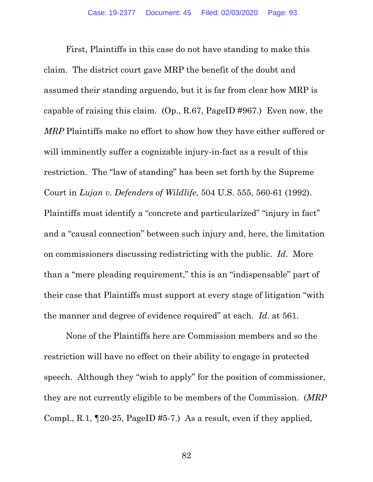First, Plaintiffs in this case do not have standing to make this claim. The district court gave MRP the benefit of the doubt and assumed their standing arguendo, but it is far from clear how MRP is capable of raising this claim. (Op., R.67, PageID #967.) Even now, the *MRP* Plaintiffs make no effort to show how they have either suffered or will imminently suffer a cognizable injury-in-fact as a result of this restriction. The "law of standing" has been set forth by the Supreme Court in *Lujan v. Defenders of Wildlife*, 504 U.S. 555, 560-61 (1992). Plaintiffs must identify a "concrete and particularized" "injury in fact" and a "causal connection" between such injury and, here, the limitation on commissioners discussing redistricting with the public. *Id*. More than a "mere pleading requirement," this is an "indispensable" part of their case that Plaintiffs must support at every stage of litigation "with the manner and degree of evidence required" at each. *Id*. at 561.

None of the Plaintiffs here are Commission members and so the restriction will have no effect on their ability to engage in protected speech. Although they "wish to apply" for the position of commissioner, they are not currently eligible to be members of the Commission. (*MRP* Compl., R.1, ¶20-25, PageID #5-7.) As a result, even if they applied,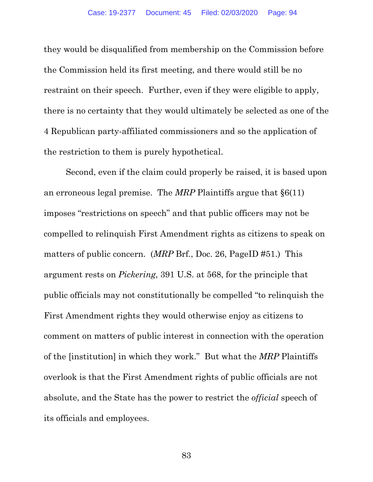they would be disqualified from membership on the Commission before the Commission held its first meeting, and there would still be no restraint on their speech. Further, even if they were eligible to apply, there is no certainty that they would ultimately be selected as one of the 4 Republican party-affiliated commissioners and so the application of the restriction to them is purely hypothetical.

Second, even if the claim could properly be raised, it is based upon an erroneous legal premise. The *MRP* Plaintiffs argue that §6(11) imposes "restrictions on speech" and that public officers may not be compelled to relinquish First Amendment rights as citizens to speak on matters of public concern. (*MRP* Brf., Doc. 26, PageID #51.) This argument rests on *Pickering*, 391 U.S. at 568, for the principle that public officials may not constitutionally be compelled "to relinquish the First Amendment rights they would otherwise enjoy as citizens to comment on matters of public interest in connection with the operation of the [institution] in which they work." But what the *MRP* Plaintiffs overlook is that the First Amendment rights of public officials are not absolute, and the State has the power to restrict the *official* speech of its officials and employees.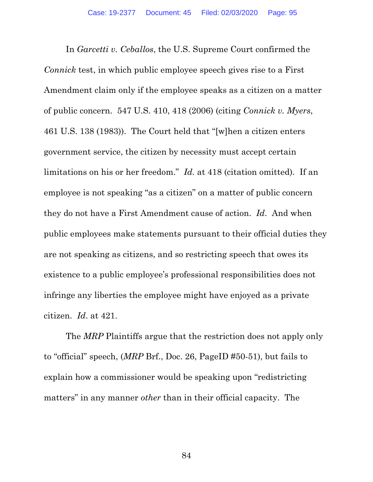In *Garcetti v. Ceballos*, the U.S. Supreme Court confirmed the *Connick* test, in which public employee speech gives rise to a First Amendment claim only if the employee speaks as a citizen on a matter of public concern. 547 U.S. 410, 418 (2006) (citing *Connick v. Myers*, 461 U.S. 138 (1983)). The Court held that "[w]hen a citizen enters government service, the citizen by necessity must accept certain limitations on his or her freedom." *Id.* at 418 (citation omitted). If an employee is not speaking "as a citizen" on a matter of public concern they do not have a First Amendment cause of action. *Id*. And when public employees make statements pursuant to their official duties they are not speaking as citizens, and so restricting speech that owes its existence to a public employee's professional responsibilities does not infringe any liberties the employee might have enjoyed as a private citizen. *Id*. at 421.

 The *MRP* Plaintiffs argue that the restriction does not apply only to "official" speech, (*MRP* Brf., Doc. 26, PageID #50-51), but fails to explain how a commissioner would be speaking upon "redistricting matters" in any manner *other* than in their official capacity. The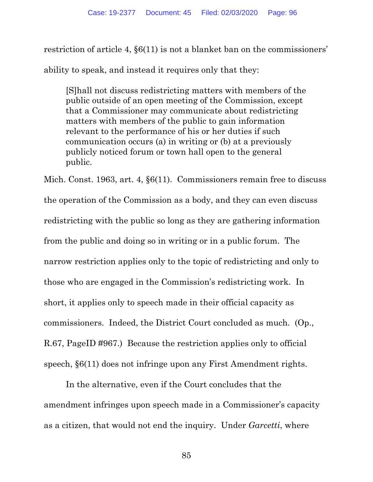restriction of article 4, §6(11) is not a blanket ban on the commissioners' ability to speak, and instead it requires only that they:

[S]hall not discuss redistricting matters with members of the public outside of an open meeting of the Commission, except that a Commissioner may communicate about redistricting matters with members of the public to gain information relevant to the performance of his or her duties if such communication occurs (a) in writing or (b) at a previously publicly noticed forum or town hall open to the general public.

Mich. Const. 1963, art. 4, §6(11). Commissioners remain free to discuss the operation of the Commission as a body, and they can even discuss redistricting with the public so long as they are gathering information from the public and doing so in writing or in a public forum. The narrow restriction applies only to the topic of redistricting and only to those who are engaged in the Commission's redistricting work. In short, it applies only to speech made in their official capacity as commissioners. Indeed, the District Court concluded as much. (Op., R.67, PageID #967.) Because the restriction applies only to official speech, §6(11) does not infringe upon any First Amendment rights.

 In the alternative, even if the Court concludes that the amendment infringes upon speech made in a Commissioner's capacity as a citizen, that would not end the inquiry. Under *Garcetti*, where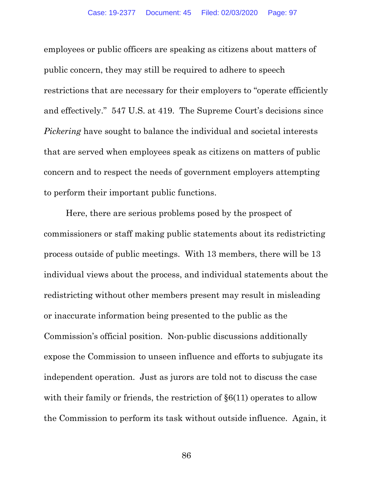employees or public officers are speaking as citizens about matters of public concern, they may still be required to adhere to speech restrictions that are necessary for their employers to "operate efficiently and effectively." 547 U.S. at 419. The Supreme Court's decisions since *Pickering* have sought to balance the individual and societal interests that are served when employees speak as citizens on matters of public concern and to respect the needs of government employers attempting to perform their important public functions.

Here, there are serious problems posed by the prospect of commissioners or staff making public statements about its redistricting process outside of public meetings. With 13 members, there will be 13 individual views about the process, and individual statements about the redistricting without other members present may result in misleading or inaccurate information being presented to the public as the Commission's official position. Non-public discussions additionally expose the Commission to unseen influence and efforts to subjugate its independent operation. Just as jurors are told not to discuss the case with their family or friends, the restriction of  $\S6(11)$  operates to allow the Commission to perform its task without outside influence. Again, it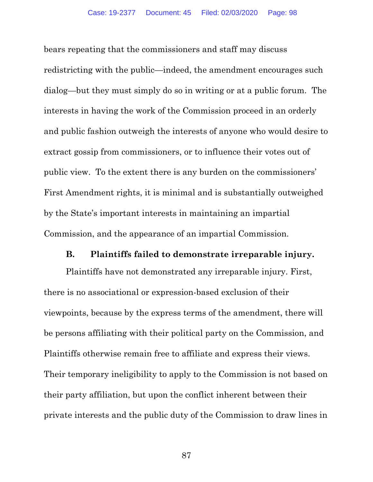bears repeating that the commissioners and staff may discuss redistricting with the public—indeed, the amendment encourages such dialog—but they must simply do so in writing or at a public forum. The interests in having the work of the Commission proceed in an orderly and public fashion outweigh the interests of anyone who would desire to extract gossip from commissioners, or to influence their votes out of public view. To the extent there is any burden on the commissioners' First Amendment rights, it is minimal and is substantially outweighed by the State's important interests in maintaining an impartial Commission, and the appearance of an impartial Commission.

#### **B. Plaintiffs failed to demonstrate irreparable injury.**

Plaintiffs have not demonstrated any irreparable injury. First, there is no associational or expression-based exclusion of their viewpoints, because by the express terms of the amendment, there will be persons affiliating with their political party on the Commission, and Plaintiffs otherwise remain free to affiliate and express their views. Their temporary ineligibility to apply to the Commission is not based on their party affiliation, but upon the conflict inherent between their private interests and the public duty of the Commission to draw lines in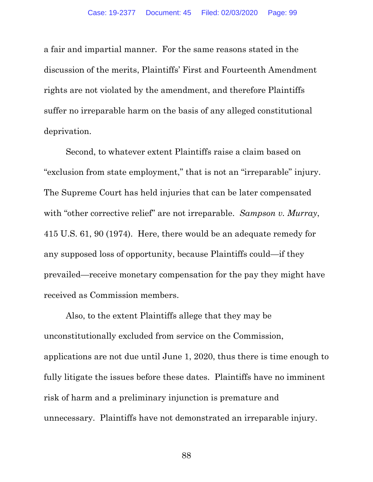a fair and impartial manner. For the same reasons stated in the discussion of the merits, Plaintiffs' First and Fourteenth Amendment rights are not violated by the amendment, and therefore Plaintiffs suffer no irreparable harm on the basis of any alleged constitutional deprivation.

Second, to whatever extent Plaintiffs raise a claim based on "exclusion from state employment," that is not an "irreparable" injury. The Supreme Court has held injuries that can be later compensated with "other corrective relief" are not irreparable. *Sampson v. Murray*, 415 U.S. 61, 90 (1974). Here, there would be an adequate remedy for any supposed loss of opportunity, because Plaintiffs could—if they prevailed—receive monetary compensation for the pay they might have received as Commission members.

Also, to the extent Plaintiffs allege that they may be unconstitutionally excluded from service on the Commission, applications are not due until June 1, 2020, thus there is time enough to fully litigate the issues before these dates. Plaintiffs have no imminent risk of harm and a preliminary injunction is premature and unnecessary. Plaintiffs have not demonstrated an irreparable injury.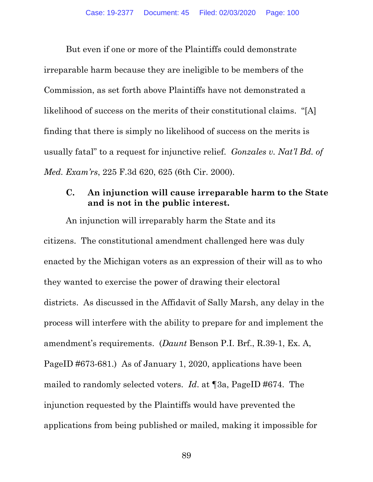But even if one or more of the Plaintiffs could demonstrate irreparable harm because they are ineligible to be members of the Commission, as set forth above Plaintiffs have not demonstrated a likelihood of success on the merits of their constitutional claims. "[A] finding that there is simply no likelihood of success on the merits is usually fatal" to a request for injunctive relief. *Gonzales v. Nat'l Bd. of Med. Exam'rs*, 225 F.3d 620, 625 (6th Cir. 2000).

### **C. An injunction will cause irreparable harm to the State and is not in the public interest.**

An injunction will irreparably harm the State and its citizens. The constitutional amendment challenged here was duly enacted by the Michigan voters as an expression of their will as to who they wanted to exercise the power of drawing their electoral districts. As discussed in the Affidavit of Sally Marsh, any delay in the process will interfere with the ability to prepare for and implement the amendment's requirements. (*Daunt* Benson P.I. Brf., R.39-1, Ex. A, PageID #673-681.) As of January 1, 2020, applications have been mailed to randomly selected voters. *Id*. at ¶3a, PageID #674. The injunction requested by the Plaintiffs would have prevented the applications from being published or mailed, making it impossible for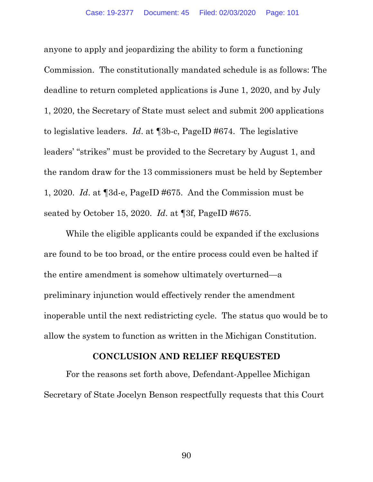anyone to apply and jeopardizing the ability to form a functioning Commission. The constitutionally mandated schedule is as follows: The deadline to return completed applications is June 1, 2020, and by July 1, 2020, the Secretary of State must select and submit 200 applications to legislative leaders. *Id*. at ¶3b-c, PageID #674. The legislative leaders' "strikes" must be provided to the Secretary by August 1, and the random draw for the 13 commissioners must be held by September 1, 2020. *Id*. at ¶3d-e, PageID #675. And the Commission must be seated by October 15, 2020. *Id*. at ¶3f, PageID #675.

While the eligible applicants could be expanded if the exclusions are found to be too broad, or the entire process could even be halted if the entire amendment is somehow ultimately overturned—a preliminary injunction would effectively render the amendment inoperable until the next redistricting cycle. The status quo would be to allow the system to function as written in the Michigan Constitution.

### **CONCLUSION AND RELIEF REQUESTED**

For the reasons set forth above, Defendant-Appellee Michigan Secretary of State Jocelyn Benson respectfully requests that this Court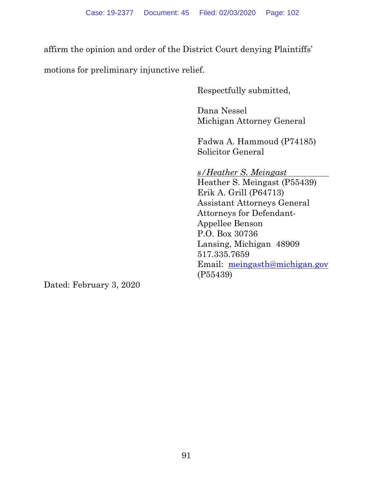affirm the opinion and order of the District Court denying Plaintiffs'

motions for preliminary injunctive relief.

Respectfully submitted,

Dana Nessel Michigan Attorney General

Fadwa A. Hammoud (P74185) Solicitor General

 *s/Heather S. Meingast*  Heather S. Meingast (P55439) Erik A. Grill (P64713) Assistant Attorneys General Attorneys for Defendant-Appellee Benson P.O. Box 30736 Lansing, Michigan 48909 517.335.7659 Email: meingasth@michigan.gov (P55439)

Dated: February 3, 2020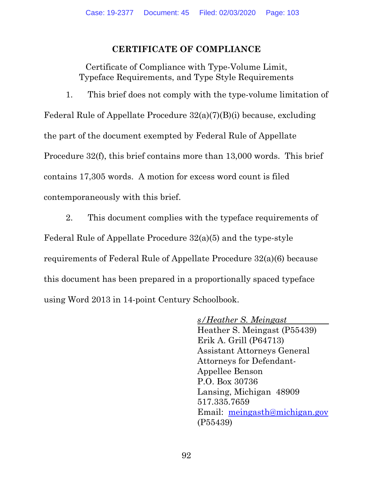## **CERTIFICATE OF COMPLIANCE**

Certificate of Compliance with Type-Volume Limit, Typeface Requirements, and Type Style Requirements

1. This brief does not comply with the type-volume limitation of Federal Rule of Appellate Procedure 32(a)(7)(B)(i) because, excluding the part of the document exempted by Federal Rule of Appellate Procedure 32(f), this brief contains more than 13,000 words. This brief contains 17,305 words. A motion for excess word count is filed contemporaneously with this brief.

2. This document complies with the typeface requirements of Federal Rule of Appellate Procedure 32(a)(5) and the type-style requirements of Federal Rule of Appellate Procedure 32(a)(6) because this document has been prepared in a proportionally spaced typeface using Word 2013 in 14-point Century Schoolbook.

> *s/Heather S. Meingast*  Heather S. Meingast (P55439) Erik A. Grill (P64713) Assistant Attorneys General Attorneys for Defendant-Appellee Benson P.O. Box 30736 Lansing, Michigan 48909 517.335.7659 Email: meingasth@michigan.gov (P55439)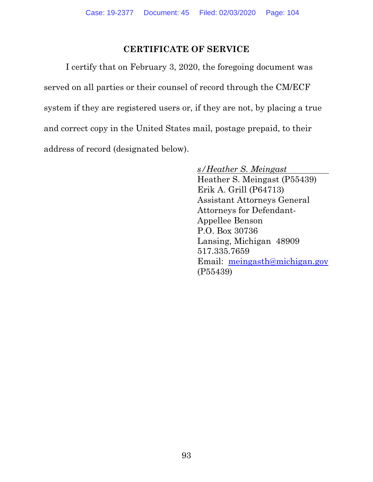# **CERTIFICATE OF SERVICE**

I certify that on February 3, 2020, the foregoing document was served on all parties or their counsel of record through the CM/ECF system if they are registered users or, if they are not, by placing a true and correct copy in the United States mail, postage prepaid, to their address of record (designated below).

*s/Heather S. Meingast* 

Heather S. Meingast (P55439) Erik A. Grill (P64713) Assistant Attorneys General Attorneys for Defendant-Appellee Benson P.O. Box 30736 Lansing, Michigan 48909 517.335.7659 Email: meingasth@michigan.gov (P55439)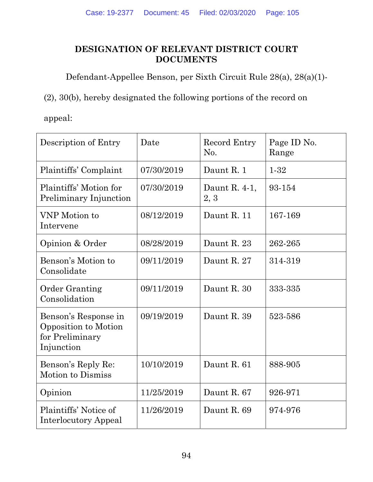# **DESIGNATION OF RELEVANT DISTRICT COURT DOCUMENTS**

Defendant-Appellee Benson, per Sixth Circuit Rule 28(a), 28(a)(1)-

(2), 30(b), hereby designated the following portions of the record on

appeal:

| Description of Entry                                                          | Date       | Record Entry<br>No.   | Page ID No.<br>Range |
|-------------------------------------------------------------------------------|------------|-----------------------|----------------------|
| Plaintiffs' Complaint                                                         | 07/30/2019 | Daunt R. 1            | $1 - 32$             |
| Plaintiffs' Motion for<br>Preliminary Injunction                              | 07/30/2019 | Daunt R. 4-1,<br>2, 3 | 93-154               |
| VNP Motion to<br>Intervene                                                    | 08/12/2019 | Daunt R. 11           | 167-169              |
| Opinion & Order                                                               | 08/28/2019 | Daunt R. 23           | 262-265              |
| Benson's Motion to<br>Consolidate                                             | 09/11/2019 | Daunt R. 27           | 314-319              |
| <b>Order Granting</b><br>Consolidation                                        | 09/11/2019 | Daunt R. 30           | 333-335              |
| Benson's Response in<br>Opposition to Motion<br>for Preliminary<br>Injunction | 09/19/2019 | Daunt R. 39           | 523-586              |
| Benson's Reply Re:<br>Motion to Dismiss                                       | 10/10/2019 | Daunt R. 61           | 888-905              |
| Opinion                                                                       | 11/25/2019 | Daunt R. 67           | 926-971              |
| Plaintiffs' Notice of<br><b>Interlocutory Appeal</b>                          | 11/26/2019 | Daunt R. 69           | 974-976              |